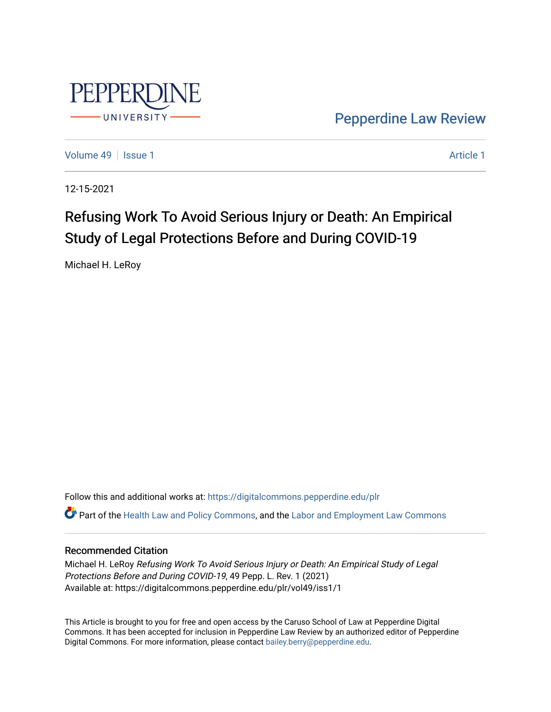

[Pepperdine Law Review](https://digitalcommons.pepperdine.edu/plr) 

[Volume 49](https://digitalcommons.pepperdine.edu/plr/vol49) | [Issue 1](https://digitalcommons.pepperdine.edu/plr/vol49/iss1) [Article 1](https://digitalcommons.pepperdine.edu/plr/vol49/iss1/1) Article 1 Article 1 Article 1 Article 1 Article 1 Article 1 Article 1

12-15-2021

# Refusing Work To Avoid Serious Injury or Death: An Empirical Study of Legal Protections Before and During COVID-19

Michael H. LeRoy

Follow this and additional works at: [https://digitalcommons.pepperdine.edu/plr](https://digitalcommons.pepperdine.edu/plr?utm_source=digitalcommons.pepperdine.edu%2Fplr%2Fvol49%2Fiss1%2F1&utm_medium=PDF&utm_campaign=PDFCoverPages) Part of the [Health Law and Policy Commons](http://network.bepress.com/hgg/discipline/901?utm_source=digitalcommons.pepperdine.edu%2Fplr%2Fvol49%2Fiss1%2F1&utm_medium=PDF&utm_campaign=PDFCoverPages), and the [Labor and Employment Law Commons](http://network.bepress.com/hgg/discipline/909?utm_source=digitalcommons.pepperdine.edu%2Fplr%2Fvol49%2Fiss1%2F1&utm_medium=PDF&utm_campaign=PDFCoverPages)

# Recommended Citation

Michael H. LeRoy Refusing Work To Avoid Serious Injury or Death: An Empirical Study of Legal Protections Before and During COVID-19, 49 Pepp. L. Rev. 1 (2021) Available at: https://digitalcommons.pepperdine.edu/plr/vol49/iss1/1

This Article is brought to you for free and open access by the Caruso School of Law at Pepperdine Digital Commons. It has been accepted for inclusion in Pepperdine Law Review by an authorized editor of Pepperdine Digital Commons. For more information, please contact [bailey.berry@pepperdine.edu.](mailto:bailey.berry@pepperdine.edu)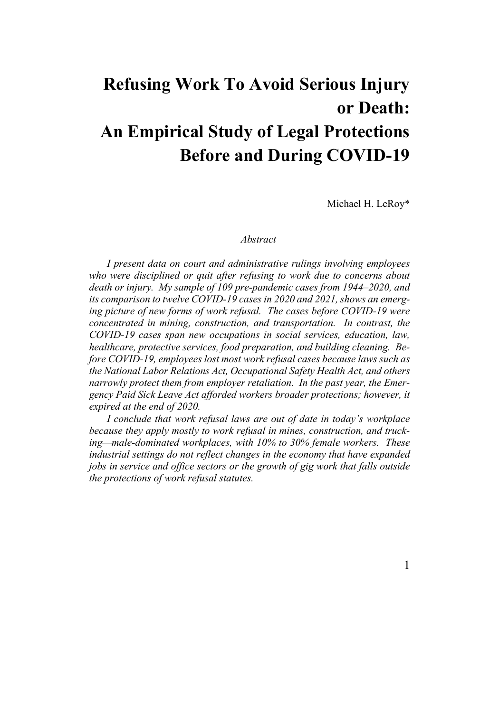# **Refusing Work To Avoid Serious Injury or Death: An Empirical Study of Legal Protections Before and During COVID-19**

Michael H. LeRoy\*

#### *Abstract*

*I present data on court and administrative rulings involving employees who were disciplined or quit after refusing to work due to concerns about death or injury. My sample of 109 pre-pandemic cases from 1944–2020, and its comparison to twelve COVID-19 cases in 2020 and 2021, shows an emerging picture of new forms of work refusal. The cases before COVID-19 were concentrated in mining, construction, and transportation. In contrast, the COVID-19 cases span new occupations in social services, education, law, healthcare, protective services, food preparation, and building cleaning. Before COVID-19, employees lost most work refusal cases because laws such as the National Labor Relations Act, Occupational Safety Health Act, and others narrowly protect them from employer retaliation. In the past year, the Emergency Paid Sick Leave Act afforded workers broader protections; however, it expired at the end of 2020.*

*I conclude that work refusal laws are out of date in today's workplace because they apply mostly to work refusal in mines, construction, and trucking—male-dominated workplaces, with 10% to 30% female workers. These industrial settings do not reflect changes in the economy that have expanded jobs in service and office sectors or the growth of gig work that falls outside the protections of work refusal statutes.*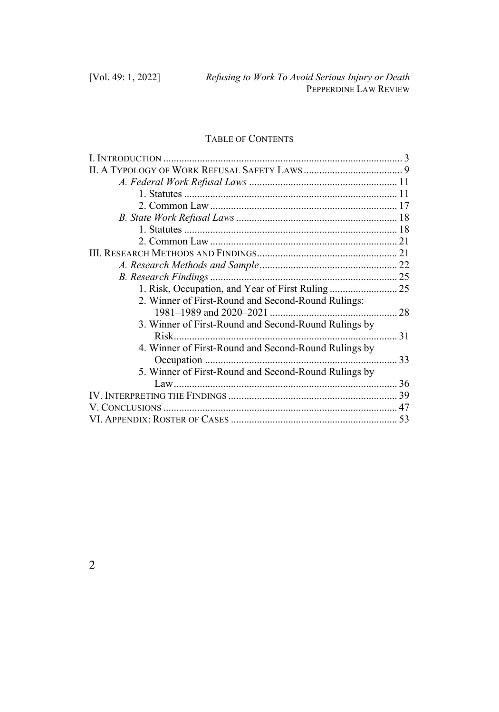# TABLE OF CONTENTS

| 2. Winner of First-Round and Second-Round Rulings:   |      |
|------------------------------------------------------|------|
|                                                      |      |
| 3. Winner of First-Round and Second-Round Rulings by |      |
|                                                      | . 31 |
| 4. Winner of First-Round and Second-Round Rulings by |      |
|                                                      | 33   |
| 5. Winner of First-Round and Second-Round Rulings by |      |
|                                                      |      |
|                                                      |      |
|                                                      |      |
|                                                      |      |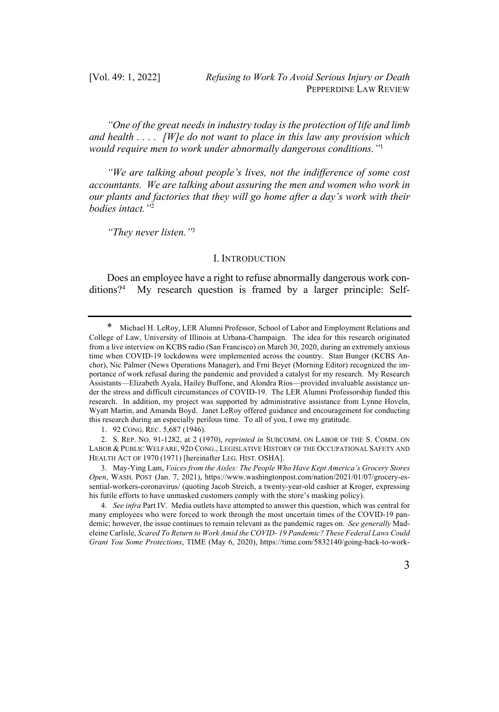*"One of the great needs in industry today is the protection of life and limb and health . . . . [W]e do not want to place in this law any provision which would require men to work under abnormally dangerous conditions."*<sup>1</sup>

*"We are talking about people's lives, not the indifference of some cost accountants. We are talking about assuring the men and women who work in our plants and factories that they will go home after a day's work with their bodies intact."*<sup>2</sup>

*"They never listen."*<sup>3</sup>

#### I. INTRODUCTION

Does an employee have a right to refuse abnormally dangerous work conditions?4 My research question is framed by a larger principle: Self-

2. S. REP. NO. 91-1282, at 2 (1970), *reprinted in* SUBCOMM. ON LABOR OF THE S. COMM. ON LABOR & PUBLIC WELFARE, 92D CONG., LEGISLATIVE HISTORY OF THE OCCUPATIONAL SAFETY AND HEALTH ACT OF 1970 (1971) [hereinafter LEG. HIST. OSHA].

Michael H. LeRoy, LER Alumni Professor, School of Labor and Employment Relations and College of Law, University of Illinois at Urbana-Champaign. The idea for this research originated from a live interview on KCBS radio (San Francisco) on March 30, 2020, during an extremely anxious time when COVID-19 lockdowns were implemented across the country. Stan Bunger (KCBS Anchor), Nic Palmer (News Operations Manager), and Frni Beyer (Morning Editor) recognized the importance of work refusal during the pandemic and provided a catalyst for my research. My Research Assistants—Elizabeth Ayala, Hailey Buffone, and Alondra Rios—provided invaluable assistance under the stress and difficult circumstances of COVID-19. The LER Alumni Professorship funded this research. In addition, my project was supported by administrative assistance from Lynne Hoveln, Wyatt Martin, and Amanda Boyd. Janet LeRoy offered guidance and encouragement for conducting this research during an especially perilous time. To all of you, I owe my gratitude.

<sup>1.</sup> 92 CONG. REC. 5,687 (1946).

<sup>3.</sup> May-Ying Lam, *Voices from the Aisles: The People Who Have Kept America's Grocery Stores Open*, WASH. POST (Jan. 7, 2021), https://www.washingtonpost.com/nation/2021/01/07/grocery-essential-workers-coronavirus/ (quoting Jacob Streich, a twenty-year-old cashier at Kroger, expressing his futile efforts to have unmasked customers comply with the store's masking policy).

<sup>4.</sup> *See infra* Part IV. Media outlets have attempted to answer this question, which was central for many employees who were forced to work through the most uncertain times of the COVID-19 pandemic; however, the issue continues to remain relevant as the pandemic rages on. *See generally* Madeleine Carlisle, *Scared To Return to Work Amid the COVID- 19 Pandemic? These Federal Laws Could Grant You Some Protections*, TIME (May 6, 2020), https://time.com/5832140/going-back-to-work-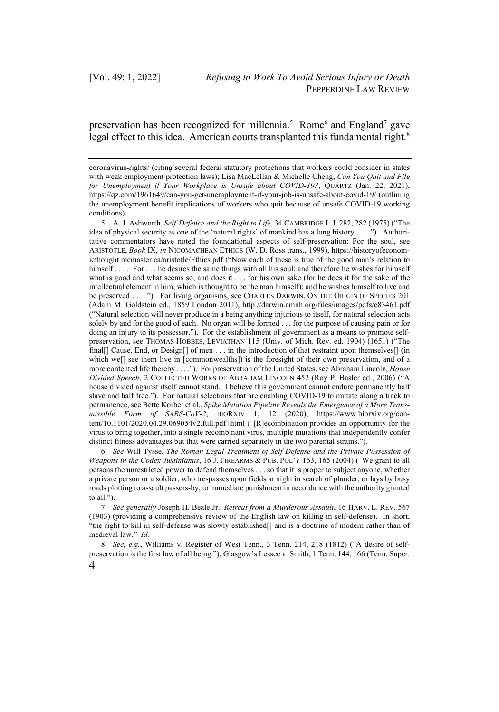preservation has been recognized for millennia.<sup>5</sup> Rome<sup>6</sup> and England<sup>7</sup> gave legal effect to this idea. American courts transplanted this fundamental right.<sup>8</sup>

6. *See* Will Tysse, *The Roman Legal Treatment of Self Defense and the Private Possession of Weapons in the Codex Justinianus*, 16 J. FIREARMS & PUB. POL'Y 163, 165 (2004) ("We grant to all persons the unrestricted power to defend themselves . . . so that it is proper to subject anyone, whether a private person or a soldier, who trespasses upon fields at night in search of plunder, or lays by busy roads plotting to assault passers-by, to immediate punishment in accordance with the authority granted to all.").

7. *See generally* Joseph H. Beale Jr., *Retreat from a Murderous Assault*, 16 HARV. L. REV. 567 (1903) (providing a comprehensive review of the English law on killing in self-defense). In short, "the right to kill in self-defense was slowly established[] and is a doctrine of modern rather than of medieval law." *Id.*

4 8. *See, e.g.*, Williams v. Register of West Tenn., 3 Tenn. 214, 218 (1812) ("A desire of selfpreservation is the first law of all being."); Glasgow's Lessee v. Smith, 1 Tenn. 144, 166 (Tenn. Super.

coronavirus-rights/ (citing several federal statutory protections that workers could consider in states with weak employment protection laws); Lisa MacLellan & Michelle Cheng, *Can You Quit and File for Unemployment if Your Workplace is Unsafe about COVID-19?*, QUARTZ (Jan. 22, 2021), https://qz.com/1961649/can-you-get-unemployment-if-your-job-is-unsafe-about-covid-19/ (outlining the unemployment benefit implications of workers who quit because of unsafe COVID-19 working conditions).

<sup>5.</sup> A. J. Ashworth, *Self-Defence and the Right to Life*, 34 CAMBRIDGE L.J. 282, 282 (1975) ("The idea of physical security as one of the 'natural rights' of mankind has a long history . . . ."). Authoritative commentators have noted the foundational aspects of self-preservation: For the soul, see ARISTOTLE, *Book* IX, *in* NICOMACHEAN ETHICS (W. D. Ross trans., 1999), https://historyofeconomicthought.mcmaster.ca/aristotle/Ethics.pdf ("Now each of these is true of the good man's relation to himself . . . . For . . . he desires the same things with all his soul; and therefore he wishes for himself what is good and what seems so, and does it . . . for his own sake (for he does it for the sake of the intellectual element in him, which is thought to be the man himself); and he wishes himself to live and be preserved . . . ."). For living organisms, see CHARLES DARWIN, ON THE ORIGIN OF SPECIES 201 (Adam M. Goldstein ed., 1859 London 2011), http://darwin.amnh.org/files/images/pdfs/e83461.pdf ("Natural selection will never produce in a being anything injurious to itself, for natural selection acts solely by and for the good of each. No organ will be formed . . . for the purpose of causing pain or for doing an injury to its possessor."). For the establishment of government as a means to promote selfpreservation, see THOMAS HOBBES, LEVIATHAN 115 (Univ. of Mich. Rev. ed. 1904) (1651) ("The final[] Cause, End, or Design[] of men . . . in the introduction of that restraint upon themselves[] (in which we[] see them live in [commonwealths]) is the foresight of their own preservation, and of a more contented life thereby . . . ."). For preservation of the United States, see Abraham Lincoln, *House Divided Speech*, 2 COLLECTED WORKS OF ABRAHAM LINCOLN 452 (Roy P. Basler ed., 2006) ("A house divided against itself cannot stand. I believe this government cannot endure permanently half slave and half free."). For natural selections that are enabling COVID-19 to mutate along a track to permanence, see Bette Korber et al., *Spike Mutation Pipeline Reveals the Emergence of a More Transmissible Form of SARS-CoV-2*, BIORXIV 1, 12 (2020), https://www.biorxiv.org/content/10.1101/2020.04.29.069054v2.full.pdf+html ("[R]ecombination provides an opportunity for the virus to bring together, into a single recombinant virus, multiple mutations that independently confer distinct fitness advantages but that were carried separately in the two parental strains.").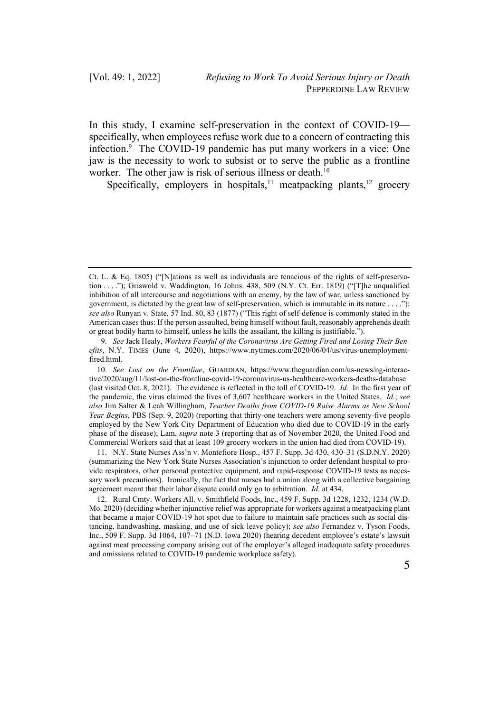In this study, I examine self-preservation in the context of COVID-19 specifically, when employees refuse work due to a concern of contracting this infection.9 The COVID-19 pandemic has put many workers in a vice: One jaw is the necessity to work to subsist or to serve the public as a frontline worker. The other jaw is risk of serious illness or death.<sup>10</sup>

Specifically, employers in hospitals,<sup>11</sup> meatpacking plants,<sup>12</sup> grocery

11. N.Y. State Nurses Ass'n v. Montefiore Hosp., 457 F. Supp. 3d 430, 430–31 (S.D.N.Y. 2020) (summarizing the New York State Nurses Association's injunction to order defendant hospital to provide respirators, other personal protective equipment, and rapid-response COVID-19 tests as necessary work precautions). Ironically, the fact that nurses had a union along with a collective bargaining agreement meant that their labor dispute could only go to arbitration. *Id.* at 434.

12. Rural Cmty. Workers All. v. Smithfield Foods, Inc., 459 F. Supp. 3d 1228, 1232, 1234 (W.D. Mo. 2020) (deciding whether injunctive relief was appropriate for workers against a meatpacking plant that became a major COVID-19 hot spot due to failure to maintain safe practices such as social distancing, handwashing, masking, and use of sick leave policy); *see also* Fernandez v. Tyson Foods, Inc., 509 F. Supp. 3d 1064, 107–71 (N.D. Iowa 2020) (hearing decedent employee's estate's lawsuit against meat processing company arising out of the employer's alleged inadequate safety procedures and omissions related to COVID-19 pandemic workplace safety).

Ct. L. & Eq. 1805) ("[N]ations as well as individuals are tenacious of the rights of self-preservation . . . ."); Griswold v. Waddington, 16 Johns. 438, 509 (N.Y. Ct. Err. 1819) ("[T]he unqualified inhibition of all intercourse and negotiations with an enemy, by the law of war, unless sanctioned by government, is dictated by the great law of self-preservation, which is immutable in its nature . . . ."); *see also* Runyan v. State, 57 Ind. 80, 83 (1877) ("This right of self-defence is commonly stated in the American cases thus: If the person assaulted, being himself without fault, reasonably apprehends death or great bodily harm to himself, unless he kills the assailant, the killing is justifiable.").

<sup>9.</sup> *See* Jack Healy, *Workers Fearful of the Coronavirus Are Getting Fired and Losing Their Benefits*, N.Y. TIMES (June 4, 2020), https://www.nytimes.com/2020/06/04/us/virus-unemploymentfired.html.

<sup>10.</sup> *See Lost on the Frontline*, GUARDIAN, https://www.theguardian.com/us-news/ng-interactive/2020/aug/11/lost-on-the-frontline-covid-19-coronavirus-us-healthcare-workers-deaths-database (last visited Oct. 8, 2021). The evidence is reflected in the toll of COVID-19. *Id.* In the first year of the pandemic, the virus claimed the lives of 3,607 healthcare workers in the United States. *Id.*; *see also* Jim Salter & Leah Willingham, *Teacher Deaths from COVID-19 Raise Alarms as New School Year Begins*, PBS (Sep. 9, 2020) (reporting that thirty-one teachers were among seventy-five people employed by the New York City Department of Education who died due to COVID-19 in the early phase of the disease); Lam, *supra* note 3 (reporting that as of November 2020, the United Food and Commercial Workers said that at least 109 grocery workers in the union had died from COVID-19).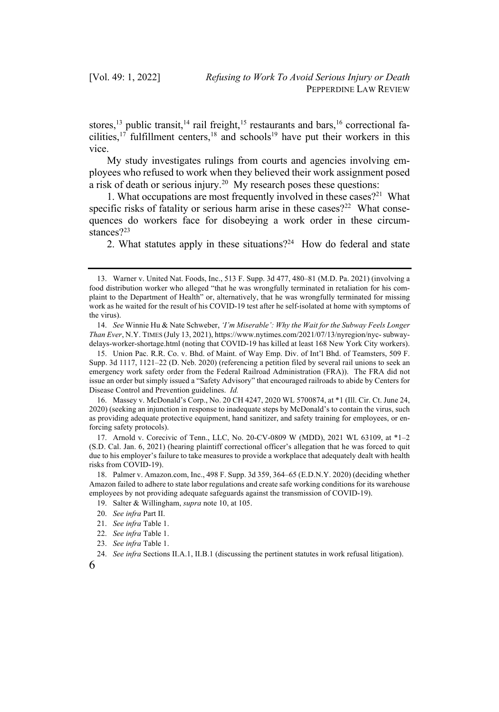stores,<sup>13</sup> public transit,<sup>14</sup> rail freight,<sup>15</sup> restaurants and bars,<sup>16</sup> correctional facilities,<sup>17</sup> fulfillment centers,<sup>18</sup> and schools<sup>19</sup> have put their workers in this vice.

My study investigates rulings from courts and agencies involving employees who refused to work when they believed their work assignment posed a risk of death or serious injury.<sup>20</sup> My research poses these questions:

1. What occupations are most frequently involved in these cases?<sup>21</sup> What specific risks of fatality or serious harm arise in these cases?<sup>22</sup> What consequences do workers face for disobeying a work order in these circumstances?23

2. What statutes apply in these situations?<sup>24</sup> How do federal and state

<sup>13.</sup> Warner v. United Nat. Foods, Inc., 513 F. Supp. 3d 477, 480–81 (M.D. Pa. 2021) (involving a food distribution worker who alleged "that he was wrongfully terminated in retaliation for his complaint to the Department of Health" or, alternatively, that he was wrongfully terminated for missing work as he waited for the result of his COVID-19 test after he self-isolated at home with symptoms of the virus).

<sup>14.</sup> *See* Winnie Hu & Nate Schweber, *'I'm Miserable': Why the Wait for the Subway Feels Longer Than Ever*, N.Y. TIMES (July 13, 2021), https://www.nytimes.com/2021/07/13/nyregion/nyc- subwaydelays-worker-shortage.html (noting that COVID-19 has killed at least 168 New York City workers).

<sup>15.</sup> Union Pac. R.R. Co. v. Bhd. of Maint. of Way Emp. Div. of Int'l Bhd. of Teamsters, 509 F. Supp. 3d 1117, 1121–22 (D. Neb. 2020) (referencing a petition filed by several rail unions to seek an emergency work safety order from the Federal Railroad Administration (FRA)). The FRA did not issue an order but simply issued a "Safety Advisory" that encouraged railroads to abide by Centers for Disease Control and Prevention guidelines. *Id.*

<sup>16.</sup> Massey v. McDonald's Corp., No. 20 CH 4247, 2020 WL 5700874, at \*1 (Ill. Cir. Ct. June 24, 2020) (seeking an injunction in response to inadequate steps by McDonald's to contain the virus, such as providing adequate protective equipment, hand sanitizer, and safety training for employees, or enforcing safety protocols).

<sup>17.</sup> Arnold v. Corecivic of Tenn., LLC, No. 20-CV-0809 W (MDD), 2021 WL 63109, at \*1–2 (S.D. Cal. Jan. 6, 2021) (hearing plaintiff correctional officer's allegation that he was forced to quit due to his employer's failure to take measures to provide a workplace that adequately dealt with health risks from COVID-19).

<sup>18.</sup> Palmer v. Amazon.com, Inc., 498 F. Supp. 3d 359, 364–65 (E.D.N.Y. 2020) (deciding whether Amazon failed to adhere to state labor regulations and create safe working conditions for its warehouse employees by not providing adequate safeguards against the transmission of COVID-19).

<sup>19.</sup> Salter & Willingham, *supra* note 10, at 105.

<sup>20.</sup> *See infra* Part II.

<sup>21.</sup> *See infra* Table 1.

<sup>22.</sup> *See infra* Table 1.

<sup>23.</sup> *See infra* Table 1.

<sup>24.</sup> *See infra* Sections II.A.1, II.B.1 (discussing the pertinent statutes in work refusal litigation).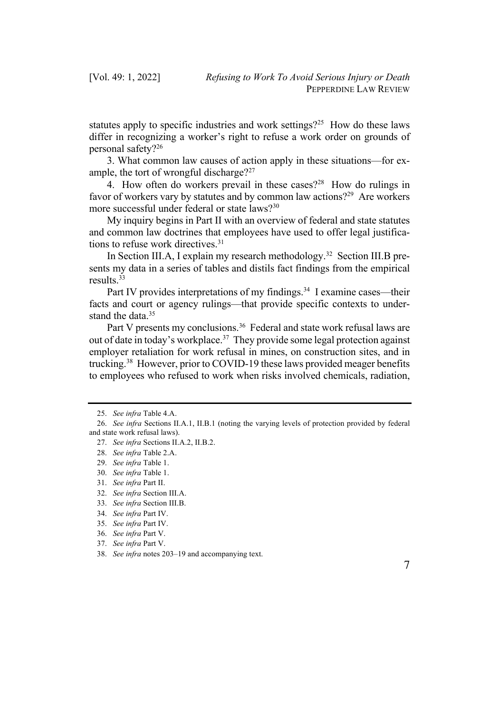statutes apply to specific industries and work settings?<sup>25</sup> How do these laws differ in recognizing a worker's right to refuse a work order on grounds of personal safety?26

3. What common law causes of action apply in these situations—for example, the tort of wrongful discharge?<sup>27</sup>

4. How often do workers prevail in these cases?28 How do rulings in favor of workers vary by statutes and by common law actions?<sup>29</sup> Are workers more successful under federal or state laws?<sup>30</sup>

My inquiry begins in Part II with an overview of federal and state statutes and common law doctrines that employees have used to offer legal justifications to refuse work directives.<sup>31</sup>

In Section III.A, I explain my research methodology.32 Section III.B presents my data in a series of tables and distils fact findings from the empirical results.33

Part IV provides interpretations of my findings.<sup>34</sup> I examine cases—their facts and court or agency rulings—that provide specific contexts to understand the data.<sup>35</sup>

Part V presents my conclusions.<sup>36</sup> Federal and state work refusal laws are out of date in today's workplace.<sup>37</sup> They provide some legal protection against employer retaliation for work refusal in mines, on construction sites, and in trucking.38 However, prior to COVID-19 these laws provided meager benefits to employees who refused to work when risks involved chemicals, radiation,

<sup>25.</sup> *See infra* Table 4.A.

<sup>26.</sup> *See infra* Sections II.A.1, II.B.1 (noting the varying levels of protection provided by federal and state work refusal laws).

<sup>27.</sup> *See infra* Sections II.A.2, II.B.2.

<sup>28.</sup> *See infra* Table 2.A.

<sup>29.</sup> *See infra* Table 1.

<sup>30.</sup> *See infra* Table 1.

<sup>31.</sup> *See infra* Part II.

<sup>32.</sup> *See infra* Section III.A.

<sup>33.</sup> *See infra* Section III.B.

<sup>34.</sup> *See infra* Part IV.

<sup>35.</sup> *See infra* Part IV.

<sup>36.</sup> *See infra* Part V.

<sup>37.</sup> *See infra* Part V.

<sup>38.</sup> *See infra* notes 203–19 and accompanying text.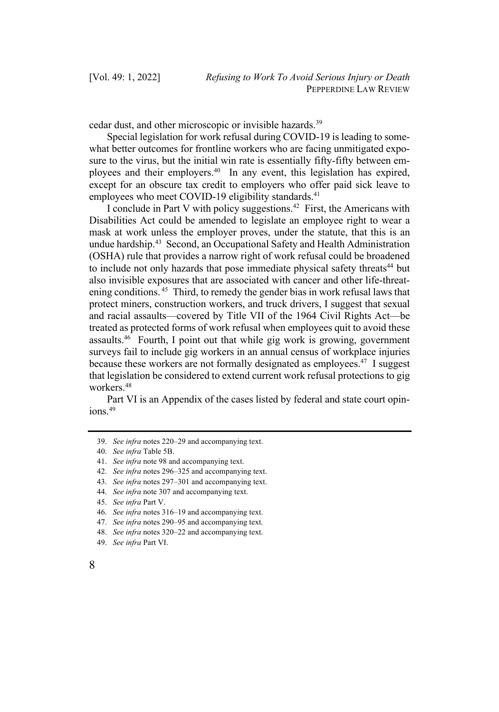cedar dust, and other microscopic or invisible hazards.39

Special legislation for work refusal during COVID-19 is leading to somewhat better outcomes for frontline workers who are facing unmitigated exposure to the virus, but the initial win rate is essentially fifty-fifty between employees and their employers.40 In any event, this legislation has expired, except for an obscure tax credit to employers who offer paid sick leave to employees who meet COVID-19 eligibility standards.<sup>41</sup>

I conclude in Part V with policy suggestions.42 First, the Americans with Disabilities Act could be amended to legislate an employee right to wear a mask at work unless the employer proves, under the statute, that this is an undue hardship.<sup>43</sup> Second, an Occupational Safety and Health Administration (OSHA) rule that provides a narrow right of work refusal could be broadened to include not only hazards that pose immediate physical safety threats<sup>44</sup> but also invisible exposures that are associated with cancer and other life-threatening conditions.<sup>45</sup> Third, to remedy the gender bias in work refusal laws that protect miners, construction workers, and truck drivers, I suggest that sexual and racial assaults—covered by Title VII of the 1964 Civil Rights Act—be treated as protected forms of work refusal when employees quit to avoid these assaults.46 Fourth, I point out that while gig work is growing, government surveys fail to include gig workers in an annual census of workplace injuries because these workers are not formally designated as employees.<sup>47</sup> I suggest that legislation be considered to extend current work refusal protections to gig workers.48

Part VI is an Appendix of the cases listed by federal and state court opin $i$ ons.  $49$ 

44. *See infra* note 307 and accompanying text.

<sup>39.</sup> *See infra* notes 220–29 and accompanying text.

<sup>40.</sup> *See infra* Table 5B.

<sup>41.</sup> *See infra* note 98 and accompanying text.

<sup>42.</sup> *See infra* notes 296–325 and accompanying text.

<sup>43.</sup> *See infra* notes 297–301 and accompanying text.

<sup>45.</sup> *See infra* Part V.

<sup>46.</sup> *See infra* notes 316–19 and accompanying text.

<sup>47.</sup> *See infra* notes 290–95 and accompanying text.

<sup>48.</sup> *See infra* notes 320–22 and accompanying text.

<sup>49.</sup> *See infra* Part VI.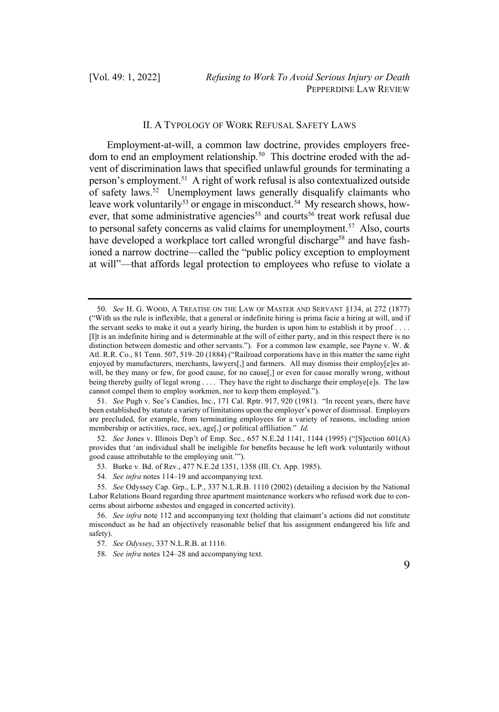#### II. A TYPOLOGY OF WORK REFUSAL SAFETY LAWS

Employment-at-will, a common law doctrine, provides employers freedom to end an employment relationship.<sup>50</sup> This doctrine eroded with the advent of discrimination laws that specified unlawful grounds for terminating a person's employment.51 A right of work refusal is also contextualized outside of safety laws.<sup>52</sup> Unemployment laws generally disqualify claimants who leave work voluntarily<sup>53</sup> or engage in misconduct.<sup>54</sup> My research shows, however, that some administrative agencies<sup>55</sup> and courts<sup>56</sup> treat work refusal due to personal safety concerns as valid claims for unemployment.<sup>57</sup> Also, courts have developed a workplace tort called wrongful discharge<sup>58</sup> and have fashioned a narrow doctrine—called the "public policy exception to employment at will"—that affords legal protection to employees who refuse to violate a

<sup>50.</sup> *See* H. G. WOOD, A TREATISE ON THE LAW OF MASTER AND SERVANT §134, at 272 (1877) ("With us the rule is inflexible, that a general or indefinite hiring is prima facie a hiring at will, and if the servant seeks to make it out a yearly hiring, the burden is upon him to establish it by proof  $\dots$ . [I]t is an indefinite hiring and is determinable at the will of either party, and in this respect there is no distinction between domestic and other servants."). For a common law example, see Payne v. W. & Atl. R.R. Co., 81 Tenn. 507, 519–20 (1884) ("Railroad corporations have in this matter the same right enjoyed by manufacturers, merchants, lawyers[,] and farmers. All may dismiss their employ[e]es atwill, be they many or few, for good cause, for no cause[,] or even for cause morally wrong, without being thereby guilty of legal wrong . . . . They have the right to discharge their employe[e]s. The law cannot compel them to employ workmen, nor to keep them employed.").

<sup>51.</sup> *See* Pugh v. See's Candies, Inc., 171 Cal. Rptr. 917, 920 (1981). "In recent years, there have been established by statute a variety of limitations upon the employer's power of dismissal. Employers are precluded, for example, from terminating employees for a variety of reasons, including union membership or activities, race, sex, age[,] or political affiliation." *Id.* 

<sup>52.</sup> *See* Jones v. Illinois Dep't of Emp. Sec., 657 N.E.2d 1141, 1144 (1995) ("[S]ection 601(A) provides that 'an individual shall be ineligible for benefits because he left work voluntarily without good cause attributable to the employing unit.'").

<sup>53.</sup> Burke v. Bd. of Rev., 477 N.E.2d 1351, 1358 (Ill. Ct. App. 1985).

<sup>54.</sup> *See infra* notes 114–19 and accompanying text.

<sup>55.</sup> *See* Odyssey Cap. Grp., L.P., 337 N.L.R.B. 1110 (2002) (detailing a decision by the National Labor Relations Board regarding three apartment maintenance workers who refused work due to concerns about airborne asbestos and engaged in concerted activity).

<sup>56.</sup> *See infra* note 112 and accompanying text (holding that claimant's actions did not constitute misconduct as he had an objectively reasonable belief that his assignment endangered his life and safety).

<sup>57.</sup> *See Odyssey*, 337 N.L.R.B. at 1116.

<sup>58.</sup> *See infra* notes 124–28 and accompanying text.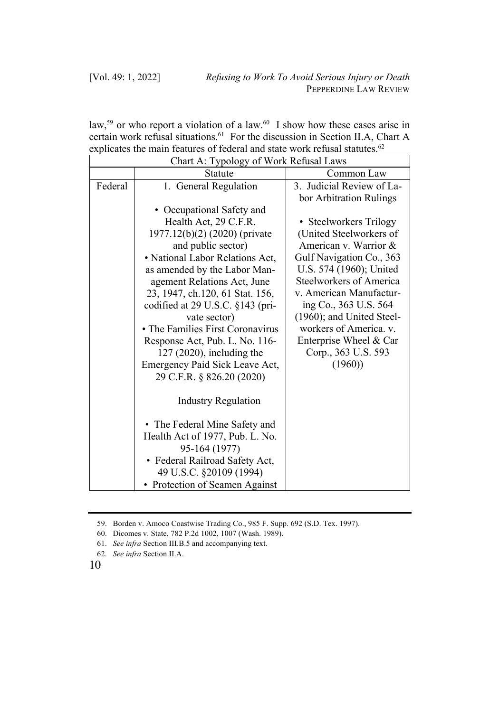law,<sup>59</sup> or who report a violation of a law.<sup>60</sup> I show how these cases arise in certain work refusal situations.<sup>61</sup> For the discussion in Section II.A, Chart A explicates the main features of federal and state work refusal statutes.<sup>62</sup>

| Chart A: Typology of Work Refusal Laws |                                  |                                                      |
|----------------------------------------|----------------------------------|------------------------------------------------------|
|                                        | <b>Statute</b>                   | Common Law                                           |
| Federal                                | 1. General Regulation            | 3. Judicial Review of La-<br>bor Arbitration Rulings |
|                                        | • Occupational Safety and        |                                                      |
|                                        | Health Act, 29 C.F.R.            | • Steelworkers Trilogy                               |
|                                        | 1977.12(b)(2) (2020) (private    | (United Steelworkers of                              |
|                                        | and public sector)               | American v. Warrior &                                |
|                                        | • National Labor Relations Act,  | Gulf Navigation Co., 363                             |
|                                        | as amended by the Labor Man-     | U.S. 574 (1960); United                              |
|                                        | agement Relations Act, June      | Steelworkers of America                              |
|                                        | 23, 1947, ch.120, 61 Stat. 156,  | v. American Manufactur-                              |
|                                        | codified at 29 U.S.C. §143 (pri- | ing Co., 363 U.S. 564                                |
|                                        | vate sector)                     | (1960); and United Steel-                            |
|                                        | • The Families First Coronavirus | workers of America. v.                               |
|                                        | Response Act, Pub. L. No. 116-   | Enterprise Wheel & Car                               |
|                                        | $127$ (2020), including the      | Corp., 363 U.S. 593                                  |
|                                        | Emergency Paid Sick Leave Act,   | (1960)                                               |
|                                        | 29 C.F.R. § 826.20 (2020)        |                                                      |
|                                        | <b>Industry Regulation</b>       |                                                      |
|                                        | • The Federal Mine Safety and    |                                                      |
|                                        | Health Act of 1977, Pub. L. No.  |                                                      |
|                                        | 95-164 (1977)                    |                                                      |
|                                        | • Federal Railroad Safety Act,   |                                                      |
|                                        | 49 U.S.C. §20109 (1994)          |                                                      |
|                                        | • Protection of Seamen Against   |                                                      |

<sup>59.</sup> Borden v. Amoco Coastwise Trading Co., 985 F. Supp. 692 (S.D. Tex. 1997).

<sup>60.</sup> Dicomes v. State, 782 P.2d 1002, 1007 (Wash. 1989).

<sup>61.</sup> *See infra* Section III.B.5 and accompanying text.

<sup>62.</sup> *See infra* Section II.A.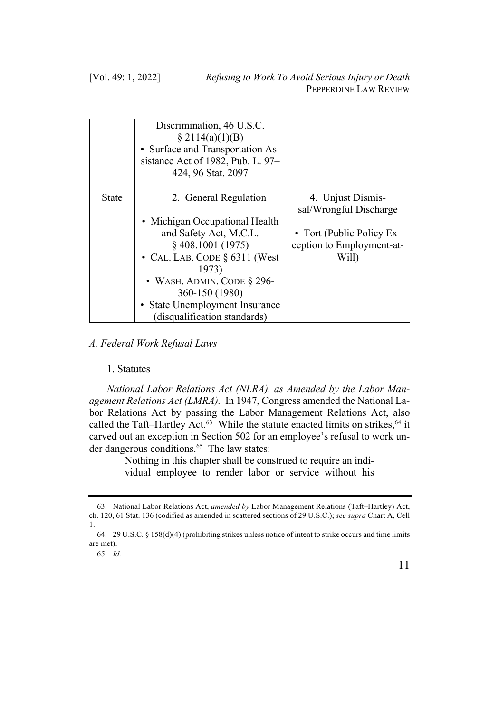|       | Discrimination, 46 U.S.C.<br>\$2114(a)(1)(B)<br>• Surface and Transportation As-<br>sistance Act of 1982, Pub. L. 97-<br>424, 96 Stat. 2097 |                                                                          |
|-------|---------------------------------------------------------------------------------------------------------------------------------------------|--------------------------------------------------------------------------|
| State | 2. General Regulation<br>• Michigan Occupational Health<br>and Safety Act, M.C.L.                                                           | 4. Unjust Dismis-<br>sal/Wrongful Discharge<br>• Tort (Public Policy Ex- |
|       | $§$ 408.1001 (1975)<br>• CAL. LAB. CODE $\S$ 6311 (West<br>1973)<br>• WASH. ADMIN. CODE $\S$ 296-<br>360-150 (1980)                         | ception to Employment-at-<br>Will)                                       |
|       | • State Unemployment Insurance<br>(disqualification standards)                                                                              |                                                                          |

# *A. Federal Work Refusal Laws*

#### 1. Statutes

*National Labor Relations Act (NLRA), as Amended by the Labor Management Relations Act (LMRA).* In 1947, Congress amended the National Labor Relations Act by passing the Labor Management Relations Act, also called the Taft–Hartley Act. $63$  While the statute enacted limits on strikes,  $64$  it carved out an exception in Section 502 for an employee's refusal to work under dangerous conditions.<sup>65</sup> The law states:

> Nothing in this chapter shall be construed to require an individual employee to render labor or service without his

<sup>63.</sup> National Labor Relations Act, *amended by* Labor Management Relations (Taft–Hartley) Act, ch. 120, 61 Stat. 136 (codified as amended in scattered sections of 29 U.S.C.); *see supra* Chart A, Cell 1.

<sup>64.</sup> 29 U.S.C. § 158(d)(4) (prohibiting strikes unless notice of intent to strike occurs and time limits are met).

<sup>65.</sup> *Id.*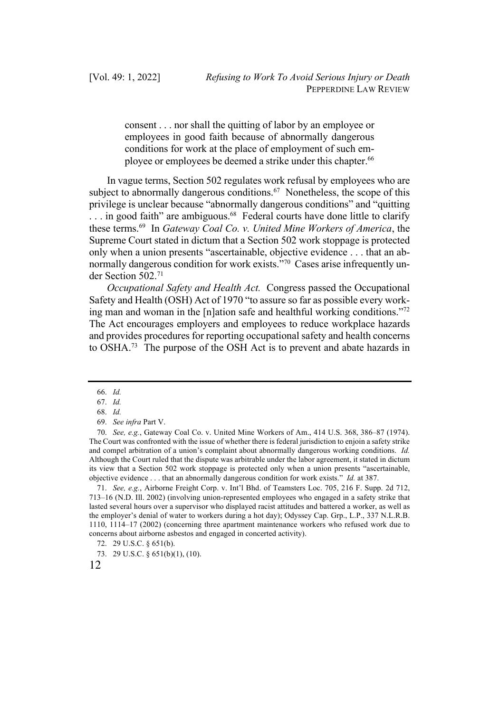consent . . . nor shall the quitting of labor by an employee or employees in good faith because of abnormally dangerous conditions for work at the place of employment of such employee or employees be deemed a strike under this chapter.<sup>66</sup>

In vague terms, Section 502 regulates work refusal by employees who are subject to abnormally dangerous conditions.<sup>67</sup> Nonetheless, the scope of this privilege is unclear because "abnormally dangerous conditions" and "quitting ... in good faith" are ambiguous.<sup>68</sup> Federal courts have done little to clarify these terms.69 In *Gateway Coal Co. v. United Mine Workers of America*, the Supreme Court stated in dictum that a Section 502 work stoppage is protected only when a union presents "ascertainable, objective evidence . . . that an abnormally dangerous condition for work exists."70 Cases arise infrequently under Section 502.71

*Occupational Safety and Health Act.* Congress passed the Occupational Safety and Health (OSH) Act of 1970 "to assure so far as possible every working man and woman in the [n]ation safe and healthful working conditions."72 The Act encourages employers and employees to reduce workplace hazards and provides procedures for reporting occupational safety and health concerns to OSHA.73 The purpose of the OSH Act is to prevent and abate hazards in

70. *See, e.g.*, Gateway Coal Co. v. United Mine Workers of Am., 414 U.S. 368, 386–87 (1974). The Court was confronted with the issue of whether there is federal jurisdiction to enjoin a safety strike and compel arbitration of a union's complaint about abnormally dangerous working conditions. *Id.* Although the Court ruled that the dispute was arbitrable under the labor agreement, it stated in dictum its view that a Section 502 work stoppage is protected only when a union presents "ascertainable, objective evidence . . . that an abnormally dangerous condition for work exists." *Id.* at 387.

71. *See, e.g.*, Airborne Freight Corp. v. Int'l Bhd. of Teamsters Loc. 705, 216 F. Supp. 2d 712, 713–16 (N.D. Ill. 2002) (involving union-represented employees who engaged in a safety strike that lasted several hours over a supervisor who displayed racist attitudes and battered a worker, as well as the employer's denial of water to workers during a hot day); Odyssey Cap. Grp., L.P., 337 N.L.R.B. 1110, 1114–17 (2002) (concerning three apartment maintenance workers who refused work due to concerns about airborne asbestos and engaged in concerted activity).

<sup>66.</sup> *Id.*

<sup>67.</sup> *Id.*

<sup>68.</sup> *Id.* 

<sup>69.</sup> *See infra* Part V.

<sup>72.</sup> 29 U.S.C. § 651(b).

<sup>73.</sup> 29 U.S.C. § 651(b)(1), (10).

<sup>12</sup>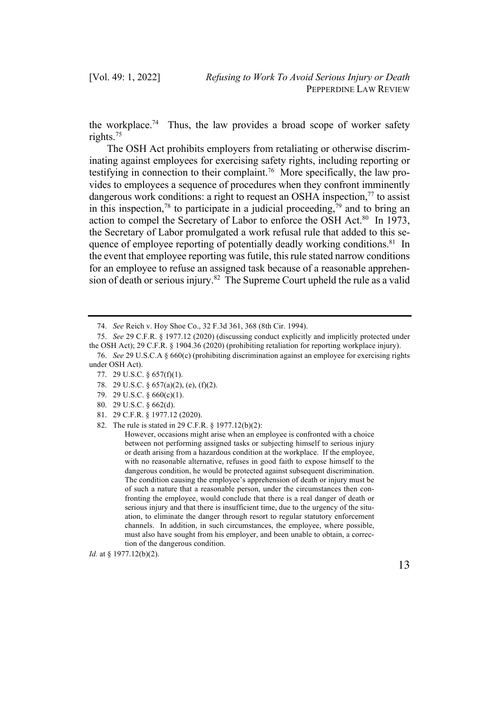the workplace.74 Thus, the law provides a broad scope of worker safety rights. 75

The OSH Act prohibits employers from retaliating or otherwise discriminating against employees for exercising safety rights, including reporting or testifying in connection to their complaint.<sup>76</sup> More specifically, the law provides to employees a sequence of procedures when they confront imminently dangerous work conditions: a right to request an OSHA inspection, $^{77}$  to assist in this inspection,<sup>78</sup> to participate in a judicial proceeding,<sup>79</sup> and to bring an action to compel the Secretary of Labor to enforce the OSH Act.<sup>80</sup> In 1973, the Secretary of Labor promulgated a work refusal rule that added to this sequence of employee reporting of potentially deadly working conditions.<sup>81</sup> In the event that employee reporting was futile, thisrule stated narrow conditions for an employee to refuse an assigned task because of a reasonable apprehension of death or serious injury.<sup>82</sup> The Supreme Court upheld the rule as a valid

*Id.* at § 1977.12(b)(2).

<sup>74.</sup> *See* Reich v. Hoy Shoe Co., 32 F.3d 361, 368 (8th Cir. 1994).

<sup>75.</sup> *See* 29 C.F.R. § 1977.12 (2020) (discussing conduct explicitly and implicitly protected under the OSH Act); 29 C.F.R. § 1904.36 (2020) (prohibiting retaliation for reporting workplace injury).

<sup>76.</sup> *See* 29 U.S.C.A § 660(c) (prohibiting discrimination against an employee for exercising rights under OSH Act).

<sup>77.</sup> 29 U.S.C. § 657(f)(1).

<sup>78.</sup> 29 U.S.C. § 657(a)(2), (e), (f)(2).

<sup>79.</sup> 29 U.S.C. § 660(c)(1).

<sup>80.</sup> 29 U.S.C. § 662(d).

<sup>81.</sup> 29 C.F.R. § 1977.12 (2020).

<sup>82.</sup> The rule is stated in 29 C.F.R. § 1977.12(b)(2):

However, occasions might arise when an employee is confronted with a choice between not performing assigned tasks or subjecting himself to serious injury or death arising from a hazardous condition at the workplace. If the employee, with no reasonable alternative, refuses in good faith to expose himself to the dangerous condition, he would be protected against subsequent discrimination. The condition causing the employee's apprehension of death or injury must be of such a nature that a reasonable person, under the circumstances then confronting the employee, would conclude that there is a real danger of death or serious injury and that there is insufficient time, due to the urgency of the situation, to eliminate the danger through resort to regular statutory enforcement channels. In addition, in such circumstances, the employee, where possible, must also have sought from his employer, and been unable to obtain, a correction of the dangerous condition.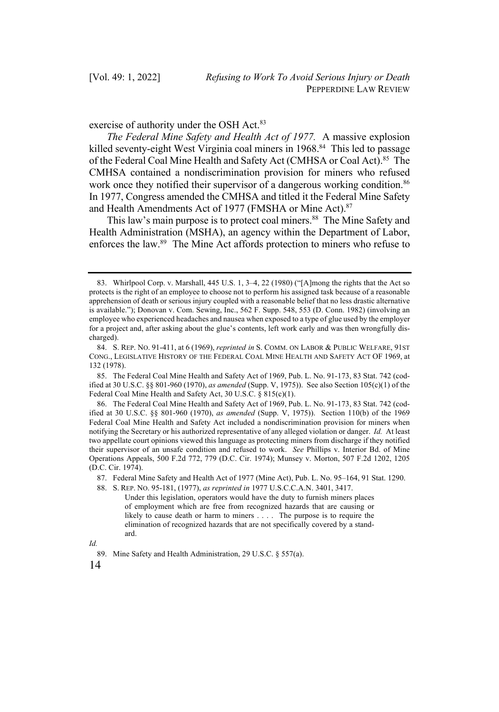exercise of authority under the OSH Act.<sup>83</sup>

*The Federal Mine Safety and Health Act of 1977.* A massive explosion killed seventy-eight West Virginia coal miners in 1968<sup>84</sup> This led to passage of the Federal Coal Mine Health and Safety Act (CMHSA or Coal Act).<sup>85</sup> The CMHSA contained a nondiscrimination provision for miners who refused work once they notified their supervisor of a dangerous working condition.<sup>86</sup> In 1977, Congress amended the CMHSA and titled it the Federal Mine Safety and Health Amendments Act of 1977 (FMSHA or Mine Act).<sup>87</sup>

This law's main purpose is to protect coal miners.<sup>88</sup> The Mine Safety and Health Administration (MSHA), an agency within the Department of Labor, enforces the law.89 The Mine Act affords protection to miners who refuse to

<sup>83.</sup> Whirlpool Corp. v. Marshall, 445 U.S. 1, 3–4, 22 (1980) ("[A]mong the rights that the Act so protects is the right of an employee to choose not to perform his assigned task because of a reasonable apprehension of death or serious injury coupled with a reasonable belief that no less drastic alternative is available."); Donovan v. Com. Sewing, Inc., 562 F. Supp. 548, 553 (D. Conn. 1982) (involving an employee who experienced headaches and nausea when exposed to a type of glue used by the employer for a project and, after asking about the glue's contents, left work early and was then wrongfully discharged).

<sup>84.</sup> S. REP. NO. 91-411, at 6 (1969), *reprinted in* S. COMM. ON LABOR & PUBLIC WELFARE, 91ST CONG., LEGISLATIVE HISTORY OF THE FEDERAL COAL MINE HEALTH AND SAFETY ACT OF 1969, at 132 (1978).

<sup>85.</sup> The Federal Coal Mine Health and Safety Act of 1969, Pub. L. No. 91-173, 83 Stat. 742 (codified at 30 U.S.C. §§ 801-960 (1970), *as amended* (Supp. V, 1975)). See also Section 105(c)(1) of the Federal Coal Mine Health and Safety Act, 30 U.S.C. § 815(c)(1).

<sup>86.</sup> The Federal Coal Mine Health and Safety Act of 1969, Pub. L. No. 91-173, 83 Stat. 742 (codified at 30 U.S.C. §§ 801-960 (1970), *as amended* (Supp. V, 1975)). Section 110(b) of the 1969 Federal Coal Mine Health and Safety Act included a nondiscrimination provision for miners when notifying the Secretary or his authorized representative of any alleged violation or danger. *Id.* At least two appellate court opinions viewed this language as protecting miners from discharge if they notified their supervisor of an unsafe condition and refused to work. *See* Phillips v. Interior Bd. of Mine Operations Appeals, 500 F.2d 772, 779 (D.C. Cir. 1974); Munsey v. Morton, 507 F.2d 1202, 1205 (D.C. Cir. 1974).

<sup>87.</sup> Federal Mine Safety and Health Act of 1977 (Mine Act), Pub. L. No. 95–164, 91 Stat. 1290.

<sup>88.</sup> S. REP. NO. 95-181, (1977), *as reprinted in* 1977 U.S.C.C.A.N. 3401, 3417.

Under this legislation, operators would have the duty to furnish miners places of employment which are free from recognized hazards that are causing or likely to cause death or harm to miners . . . . The purpose is to require the elimination of recognized hazards that are not specifically covered by a standard.

*Id.*

<sup>89.</sup> Mine Safety and Health Administration, 29 U.S.C. § 557(a).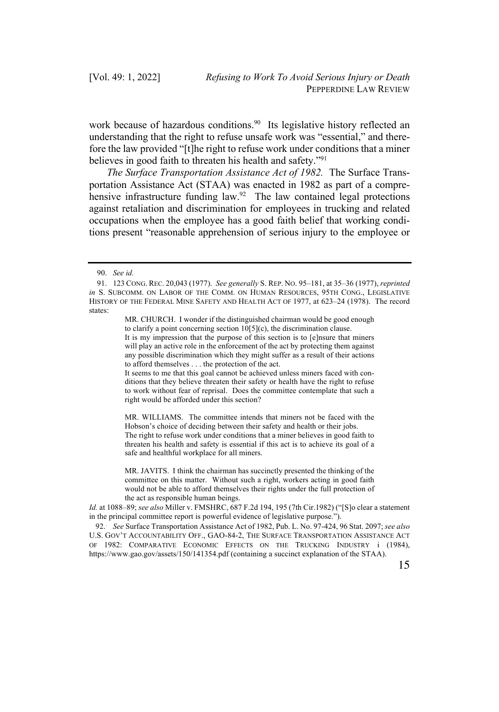work because of hazardous conditions.<sup>90</sup> Its legislative history reflected an understanding that the right to refuse unsafe work was "essential," and therefore the law provided "[t]he right to refuse work under conditions that a miner believes in good faith to threaten his health and safety."91

*The Surface Transportation Assistance Act of 1982.* The Surface Transportation Assistance Act (STAA) was enacted in 1982 as part of a comprehensive infrastructure funding law.<sup>92</sup> The law contained legal protections against retaliation and discrimination for employees in trucking and related occupations when the employee has a good faith belief that working conditions present "reasonable apprehension of serious injury to the employee or

MR. CHURCH. I wonder if the distinguished chairman would be good enough to clarify a point concerning section 10[5](c), the discrimination clause. It is my impression that the purpose of this section is to [e]nsure that miners will play an active role in the enforcement of the act by protecting them against any possible discrimination which they might suffer as a result of their actions to afford themselves . . . the protection of the act.

It seems to me that this goal cannot be achieved unless miners faced with conditions that they believe threaten their safety or health have the right to refuse to work without fear of reprisal. Does the committee contemplate that such a right would be afforded under this section?

MR. WILLIAMS. The committee intends that miners not be faced with the Hobson's choice of deciding between their safety and health or their jobs. The right to refuse work under conditions that a miner believes in good faith to threaten his health and safety is essential if this act is to achieve its goal of a safe and healthful workplace for all miners.

MR. JAVITS. I think the chairman has succinctly presented the thinking of the committee on this matter. Without such a right, workers acting in good faith would not be able to afford themselves their rights under the full protection of the act as responsible human beings.

*Id.* at 1088–89; *see also* Miller v. FMSHRC, 687 F.2d 194, 195 (7th Cir.1982) ("[S]o clear a statement in the principal committee report is powerful evidence of legislative purpose.").

92. . *See* Surface Transportation Assistance Act of 1982, Pub. L. No. 97-424, 96 Stat. 2097; *see also*  U.S. GOV'T ACCOUNTABILITY OFF., GAO-84-2, THE SURFACE TRANSPORTATION ASSISTANCE ACT OF 1982: COMPARATIVE ECONOMIC EFFECTS ON THE TRUCKING INDUSTRY i (1984), https://www.gao.gov/assets/150/141354.pdf (containing a succinct explanation of the STAA).

<sup>90.</sup> *See id.*

<sup>91.</sup> 123 CONG. REC. 20,043 (1977). *See generally* S. REP. NO. 95–181, at 35–36 (1977), *reprinted in* S. SUBCOMM. ON LABOR OF THE COMM. ON HUMAN RESOURCES, 95TH CONG., LEGISLATIVE HISTORY OF THE FEDERAL MINE SAFETY AND HEALTH ACT OF 1977, at 623–24 (1978). The record states: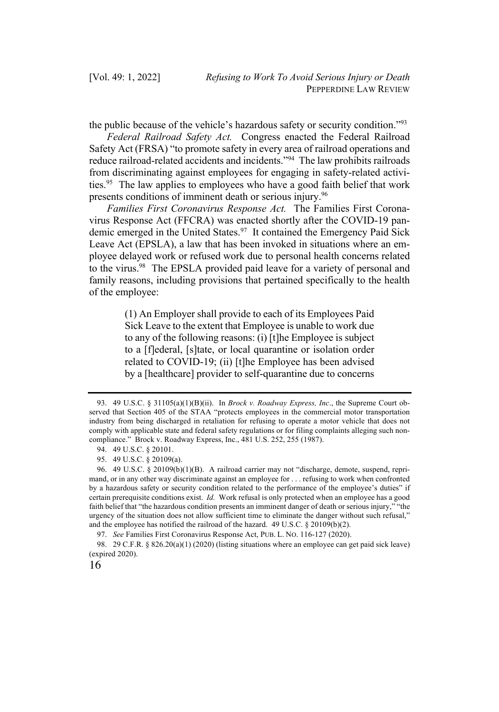the public because of the vehicle's hazardous safety or security condition."93

*Federal Railroad Safety Act.* Congress enacted the Federal Railroad Safety Act (FRSA) "to promote safety in every area of railroad operations and reduce railroad-related accidents and incidents."94 The law prohibits railroads from discriminating against employees for engaging in safety-related activities.<sup>95</sup> The law applies to employees who have a good faith belief that work presents conditions of imminent death or serious injury.<sup>96</sup>

*Families First Coronavirus Response Act.* The Families First Coronavirus Response Act (FFCRA) was enacted shortly after the COVID-19 pandemic emerged in the United States. <sup>97</sup> It contained the Emergency Paid Sick Leave Act (EPSLA), a law that has been invoked in situations where an employee delayed work or refused work due to personal health concerns related to the virus.<sup>98</sup> The EPSLA provided paid leave for a variety of personal and family reasons, including provisions that pertained specifically to the health of the employee:

> (1) An Employer shall provide to each of its Employees Paid Sick Leave to the extent that Employee is unable to work due to any of the following reasons: (i) [t]he Employee is subject to a [f]ederal, [s]tate, or local quarantine or isolation order related to COVID-19; (ii) [t]he Employee has been advised by a [healthcare] provider to self-quarantine due to concerns

<sup>93.</sup> 49 U.S.C. § 31105(a)(1)(B)(ii). In *Brock v. Roadway Express, Inc*., the Supreme Court observed that Section 405 of the STAA "protects employees in the commercial motor transportation industry from being discharged in retaliation for refusing to operate a motor vehicle that does not comply with applicable state and federal safety regulations or for filing complaints alleging such noncompliance." Brock v. Roadway Express, Inc., 481 U.S. 252, 255 (1987).

<sup>94.</sup> 49 U.S.C. § 20101.

<sup>95.</sup> 49 U.S.C. § 20109(a).

<sup>96.</sup> 49 U.S.C. § 20109(b)(1)(B). A railroad carrier may not "discharge, demote, suspend, reprimand, or in any other way discriminate against an employee for . . . refusing to work when confronted by a hazardous safety or security condition related to the performance of the employee's duties" if certain prerequisite conditions exist. *Id.* Work refusal is only protected when an employee has a good faith belief that "the hazardous condition presents an imminent danger of death or serious injury," "the urgency of the situation does not allow sufficient time to eliminate the danger without such refusal," and the employee has notified the railroad of the hazard. 49 U.S.C. § 20109(b)(2).

<sup>97.</sup> *See* Families First Coronavirus Response Act, PUB. L. NO. 116-127 (2020).

<sup>98.</sup> 29 C.F.R. § 826.20(a)(1) (2020) (listing situations where an employee can get paid sick leave) (expired 2020).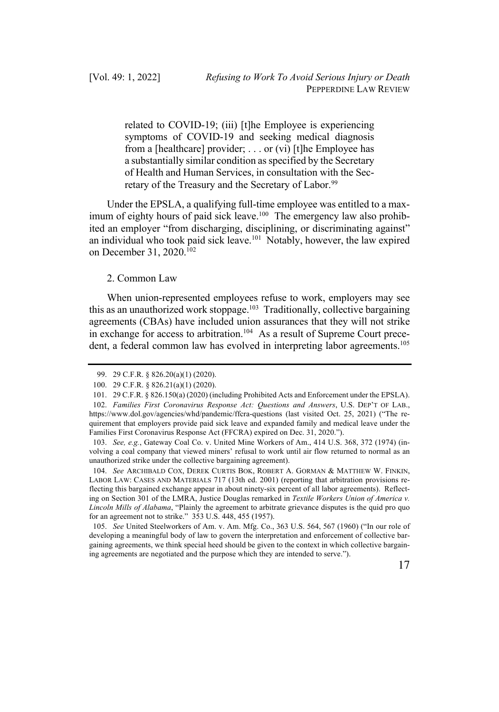related to COVID-19; (iii) [t]he Employee is experiencing symptoms of COVID-19 and seeking medical diagnosis from a [healthcare] provider; . . . or (vi) [t]he Employee has a substantially similar condition as specified by the Secretary of Health and Human Services, in consultation with the Secretary of the Treasury and the Secretary of Labor.<sup>99</sup>

Under the EPSLA, a qualifying full-time employee was entitled to a maximum of eighty hours of paid sick leave.<sup>100</sup> The emergency law also prohibited an employer "from discharging, disciplining, or discriminating against" an individual who took paid sick leave. $101$  Notably, however, the law expired on December 31, 2020.102

#### 2. Common Law

When union-represented employees refuse to work, employers may see this as an unauthorized work stoppage.<sup>103</sup> Traditionally, collective bargaining agreements (CBAs) have included union assurances that they will not strike in exchange for access to arbitration.<sup>104</sup> As a result of Supreme Court precedent, a federal common law has evolved in interpreting labor agreements.<sup>105</sup>

104. *See* ARCHIBALD COX, DEREK CURTIS BOK, ROBERT A. GORMAN & MATTHEW W. FINKIN, LABOR LAW: CASES AND MATERIALS 717 (13th ed. 2001) (reporting that arbitration provisions reflecting this bargained exchange appear in about ninety-six percent of all labor agreements). Reflecting on Section 301 of the LMRA, Justice Douglas remarked in *Textile Workers Union of America v. Lincoln Mills of Alabama*, "Plainly the agreement to arbitrate grievance disputes is the quid pro quo for an agreement not to strike." 353 U.S. 448, 455 (1957).

105. *See* United Steelworkers of Am. v. Am. Mfg. Co., 363 U.S. 564, 567 (1960) ("In our role of developing a meaningful body of law to govern the interpretation and enforcement of collective bargaining agreements, we think special heed should be given to the context in which collective bargaining agreements are negotiated and the purpose which they are intended to serve.").

<sup>99.</sup> 29 C.F.R. § 826.20(a)(1) (2020).

<sup>100.</sup> 29 C.F.R. § 826.21(a)(1) (2020).

<sup>101.</sup> 29 C.F.R. § 826.150(a) (2020) (including Prohibited Acts and Enforcement under the EPSLA).

<sup>102.</sup> *Families First Coronavirus Response Act: Questions and Answers*, U.S. DEP'T OF LAB., https://www.dol.gov/agencies/whd/pandemic/ffcra-questions (last visited Oct. 25, 2021) ("The requirement that employers provide paid sick leave and expanded family and medical leave under the Families First Coronavirus Response Act (FFCRA) expired on Dec. 31, 2020.").

<sup>103.</sup> *See, e.g.*, Gateway Coal Co. v. United Mine Workers of Am., 414 U.S. 368, 372 (1974) (involving a coal company that viewed miners' refusal to work until air flow returned to normal as an unauthorized strike under the collective bargaining agreement).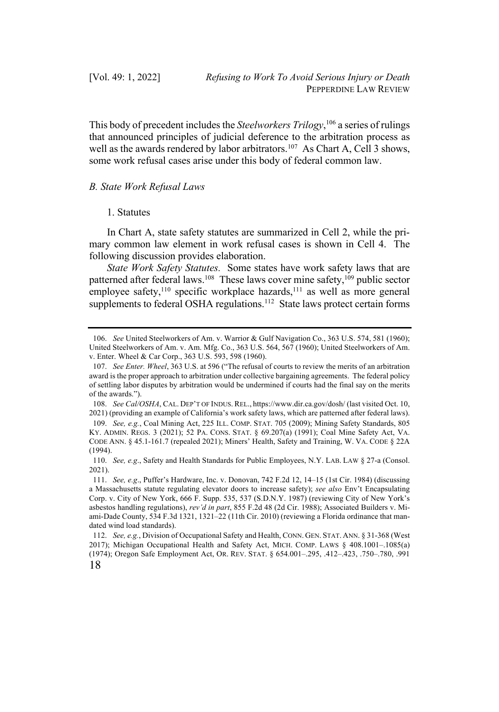This body of precedent includes the *Steelworkers Trilogy*, <sup>106</sup> a series of rulings that announced principles of judicial deference to the arbitration process as well as the awards rendered by labor arbitrators.<sup>107</sup> As Chart A, Cell 3 shows, some work refusal cases arise under this body of federal common law.

# *B. State Work Refusal Laws*

## 1. Statutes

In Chart A, state safety statutes are summarized in Cell 2, while the primary common law element in work refusal cases is shown in Cell 4. The following discussion provides elaboration.

*State Work Safety Statutes.* Some states have work safety laws that are patterned after federal laws.<sup>108</sup> These laws cover mine safety,<sup>109</sup> public sector employee safety,<sup>110</sup> specific workplace hazards,<sup>111</sup> as well as more general supplements to federal OSHA regulations.<sup>112</sup> State laws protect certain forms

<sup>106.</sup> *See* United Steelworkers of Am. v. Warrior & Gulf Navigation Co., 363 U.S. 574, 581 (1960); United Steelworkers of Am. v. Am. Mfg. Co., 363 U.S. 564, 567 (1960); United Steelworkers of Am. v. Enter. Wheel & Car Corp., 363 U.S. 593, 598 (1960).

<sup>107.</sup> *See Enter. Wheel*, 363 U.S. at 596 ("The refusal of courts to review the merits of an arbitration award is the proper approach to arbitration under collective bargaining agreements. The federal policy of settling labor disputes by arbitration would be undermined if courts had the final say on the merits of the awards.").

<sup>108.</sup> *See Cal/OSHA*, CAL. DEP'T OF INDUS. REL., https://www.dir.ca.gov/dosh/ (last visited Oct. 10, 2021) (providing an example of California's work safety laws, which are patterned after federal laws).

<sup>109.</sup> *See, e.g.*, Coal Mining Act, 225 ILL. COMP. STAT. 705 (2009); Mining Safety Standards, 805 KY. ADMIN. REGS. 3 (2021); 52 PA. CONS. STAT. § 69.207(a) (1991); Coal Mine Safety Act, VA. CODE ANN. § 45.1-161.7 (repealed 2021); Miners' Health, Safety and Training, W. VA. CODE § 22A (1994).

<sup>110.</sup> *See, e.g*., Safety and Health Standards for Public Employees, N.Y. LAB. LAW § 27-a (Consol. 2021).

<sup>111.</sup> *See, e.g*., Puffer's Hardware, Inc. v. Donovan, 742 F.2d 12, 14–15 (1st Cir. 1984) (discussing a Massachusetts statute regulating elevator doors to increase safety); *see also* Env't Encapsulating Corp. v. City of New York, 666 F. Supp. 535, 537 (S.D.N.Y. 1987) (reviewing City of New York's asbestos handling regulations), *rev'd in part*, 855 F.2d 48 (2d Cir. 1988); Associated Builders v. Miami-Dade County, 534 F.3d 1321, 1321–22 (11th Cir. 2010) (reviewing a Florida ordinance that mandated wind load standards).

<sup>18</sup> 112. *See, e.g.*, Division of Occupational Safety and Health, CONN. GEN. STAT. ANN. § 31-368 (West 2017); Michigan Occupational Health and Safety Act, MICH. COMP. LAWS § 408.1001–.1085(a) (1974); Oregon Safe Employment Act, OR. REV. STAT. § 654.001–.295, .412–.423, .750–.780, .991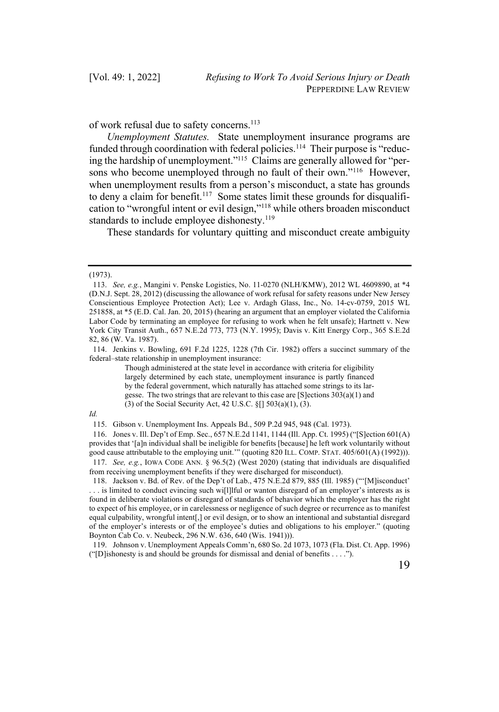of work refusal due to safety concerns.113

*Unemployment Statutes.* State unemployment insurance programs are funded through coordination with federal policies.<sup>114</sup> Their purpose is "reducing the hardship of unemployment."115 Claims are generally allowed for "persons who become unemployed through no fault of their own."<sup>116</sup> However, when unemployment results from a person's misconduct, a state has grounds to deny a claim for benefit.<sup>117</sup> Some states limit these grounds for disqualification to "wrongful intent or evil design,"118 while others broaden misconduct standards to include employee dishonesty.<sup>119</sup>

These standards for voluntary quitting and misconduct create ambiguity

<sup>(1973).</sup> 

<sup>113.</sup> *See, e.g.*, Mangini v. Penske Logistics, No. 11-0270 (NLH/KMW), 2012 WL 4609890, at \*4 (D.N.J. Sept. 28, 2012) (discussing the allowance of work refusal for safety reasons under New Jersey Conscientious Employee Protection Act); Lee v. Ardagh Glass, Inc., No. 14-cv-0759, 2015 WL 251858, at \*5 (E.D. Cal. Jan. 20, 2015) (hearing an argument that an employer violated the California Labor Code by terminating an employee for refusing to work when he felt unsafe); Hartnett v. New York City Transit Auth., 657 N.E.2d 773, 773 (N.Y. 1995); Davis v. Kitt Energy Corp., 365 S.E.2d 82, 86 (W. Va. 1987).

<sup>114.</sup> Jenkins v. Bowling, 691 F.2d 1225, 1228 (7th Cir. 1982) offers a succinct summary of the federal–state relationship in unemployment insurance:

Though administered at the state level in accordance with criteria for eligibility largely determined by each state, unemployment insurance is partly financed by the federal government, which naturally has attached some strings to its largesse. The two strings that are relevant to this case are [S]ections 303(a)(1) and (3) of the Social Security Act, 42 U.S.C. §[] 503(a)(1), (3).

*Id.*

<sup>115.</sup> Gibson v. Unemployment Ins. Appeals Bd., 509 P.2d 945, 948 (Cal. 1973).

<sup>116.</sup> Jones v. Ill. Dep't of Emp. Sec., 657 N.E.2d 1141, 1144 (Ill. App. Ct. 1995) ("[S]ection 601(A) provides that '[a]n individual shall be ineligible for benefits [because] he left work voluntarily without good cause attributable to the employing unit.'" (quoting 820 ILL. COMP. STAT. 405/601(A) (1992))). 117. *See, e.g.*, IOWA CODE ANN. § 96.5(2) (West 2020) (stating that individuals are disqualified

from receiving unemployment benefits if they were discharged for misconduct). 118. Jackson v. Bd. of Rev. of the Dep't of Lab., 475 N.E.2d 879, 885 (Ill. 1985) ("'[M]isconduct'

<sup>. . .</sup> is limited to conduct evincing such wi[l]lful or wanton disregard of an employer's interests as is found in deliberate violations or disregard of standards of behavior which the employer has the right to expect of his employee, or in carelessness or negligence of such degree or recurrence as to manifest equal culpability, wrongful intent[,] or evil design, or to show an intentional and substantial disregard of the employer's interests or of the employee's duties and obligations to his employer." (quoting Boynton Cab Co. v. Neubeck, 296 N.W. 636, 640 (Wis. 1941))).

<sup>119.</sup> Johnson v. Unemployment Appeals Comm'n, 680 So. 2d 1073, 1073 (Fla. Dist. Ct. App. 1996) ("[D]ishonesty is and should be grounds for dismissal and denial of benefits . . . .").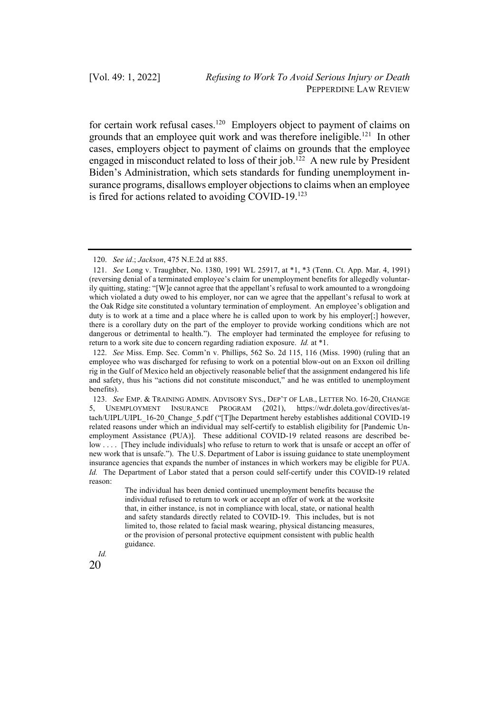for certain work refusal cases.120 Employers object to payment of claims on grounds that an employee quit work and was therefore ineligible.121 In other cases, employers object to payment of claims on grounds that the employee engaged in misconduct related to loss of their job.<sup>122</sup> A new rule by President Biden's Administration, which sets standards for funding unemployment insurance programs, disallows employer objections to claims when an employee is fired for actions related to avoiding COVID-19.<sup>123</sup>

The individual has been denied continued unemployment benefits because the individual refused to return to work or accept an offer of work at the worksite that, in either instance, is not in compliance with local, state, or national health and safety standards directly related to COVID-19. This includes, but is not limited to, those related to facial mask wearing, physical distancing measures, or the provision of personal protective equipment consistent with public health guidance.



<sup>120.</sup> *See id*.; *Jackson*, 475 N.E.2d at 885.

<sup>121.</sup> *See* Long v. Traughber, No. 1380, 1991 WL 25917, at \*1, \*3 (Tenn. Ct. App. Mar. 4, 1991) (reversing denial of a terminated employee's claim for unemployment benefits for allegedly voluntarily quitting, stating: "[W]e cannot agree that the appellant's refusal to work amounted to a wrongdoing which violated a duty owed to his employer, nor can we agree that the appellant's refusal to work at the Oak Ridge site constituted a voluntary termination of employment. An employee's obligation and duty is to work at a time and a place where he is called upon to work by his employer[;] however, there is a corollary duty on the part of the employer to provide working conditions which are not dangerous or detrimental to health."). The employer had terminated the employee for refusing to return to a work site due to concern regarding radiation exposure. *Id.* at \*1.

<sup>122.</sup> *See* Miss. Emp. Sec. Comm'n v. Phillips, 562 So. 2d 115, 116 (Miss. 1990) (ruling that an employee who was discharged for refusing to work on a potential blow-out on an Exxon oil drilling rig in the Gulf of Mexico held an objectively reasonable belief that the assignment endangered his life and safety, thus his "actions did not constitute misconduct," and he was entitled to unemployment benefits).

<sup>123.</sup> *See* EMP. & TRAINING ADMIN. ADVISORY SYS., DEP'T OF LAB., LETTER NO. 16-20, CHANGE 5, UNEMPLOYMENT INSURANCE PROGRAM (2021), https://wdr.doleta.gov/directives/attach/UIPL/UIPL\_16-20\_Change\_5.pdf ("[T]he Department hereby establishes additional COVID-19 related reasons under which an individual may self-certify to establish eligibility for [Pandemic Unemployment Assistance (PUA)]. These additional COVID-19 related reasons are described below . . . . [They include individuals] who refuse to return to work that is unsafe or accept an offer of new work that is unsafe."). The U.S. Department of Labor is issuing guidance to state unemployment insurance agencies that expands the number of instances in which workers may be eligible for PUA. *Id.* The Department of Labor stated that a person could self-certify under this COVID-19 related reason: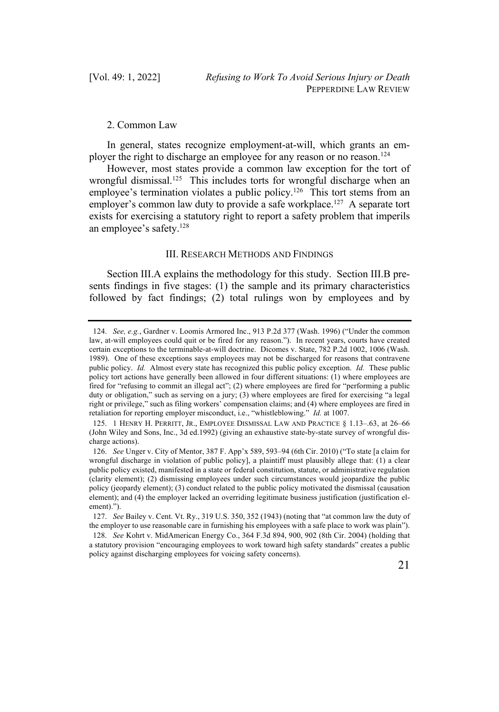# 2. Common Law

In general, states recognize employment-at-will, which grants an employer the right to discharge an employee for any reason or no reason.<sup>124</sup>

However, most states provide a common law exception for the tort of wrongful dismissal.<sup>125</sup> This includes torts for wrongful discharge when an employee's termination violates a public policy.<sup>126</sup> This tort stems from an employer's common law duty to provide a safe workplace.<sup>127</sup> A separate tort exists for exercising a statutory right to report a safety problem that imperils an employee's safety.128

#### III. RESEARCH METHODS AND FINDINGS

Section III.A explains the methodology for this study. Section III.B presents findings in five stages: (1) the sample and its primary characteristics followed by fact findings; (2) total rulings won by employees and by

<sup>124.</sup> *See, e.g.*, Gardner v. Loomis Armored Inc., 913 P.2d 377 (Wash. 1996) ("Under the common law, at-will employees could quit or be fired for any reason."). In recent years, courts have created certain exceptions to the terminable-at-will doctrine. Dicomes v. State, 782 P.2d 1002, 1006 (Wash. 1989). One of these exceptions says employees may not be discharged for reasons that contravene public policy. *Id.* Almost every state has recognized this public policy exception. *Id.* These public policy tort actions have generally been allowed in four different situations: (1) where employees are fired for "refusing to commit an illegal act"; (2) where employees are fired for "performing a public duty or obligation," such as serving on a jury; (3) where employees are fired for exercising "a legal right or privilege," such as filing workers' compensation claims; and (4) where employees are fired in retaliation for reporting employer misconduct, i.e., "whistleblowing." *Id.* at 1007.

<sup>125.</sup> 1 HENRY H. PERRITT, JR., EMPLOYEE DISMISSAL LAW AND PRACTICE § 1.13–.63, at 26–66 (John Wiley and Sons, Inc., 3d ed.1992) (giving an exhaustive state-by-state survey of wrongful discharge actions).

<sup>126.</sup> *See* Unger v. City of Mentor, 387 F. App'x 589, 593–94 (6th Cir. 2010) ("To state [a claim for wrongful discharge in violation of public policy], a plaintiff must plausibly allege that: (1) a clear public policy existed, manifested in a state or federal constitution, statute, or administrative regulation (clarity element); (2) dismissing employees under such circumstances would jeopardize the public policy (jeopardy element); (3) conduct related to the public policy motivated the dismissal (causation element); and (4) the employer lacked an overriding legitimate business justification (justification element).").

<sup>127.</sup> *See* Bailey v. Cent. Vt. Ry., 319 U.S. 350, 352 (1943) (noting that "at common law the duty of the employer to use reasonable care in furnishing his employees with a safe place to work was plain").

<sup>128.</sup> *See* Kohrt v. MidAmerican Energy Co., 364 F.3d 894, 900, 902 (8th Cir. 2004) (holding that a statutory provision "encouraging employees to work toward high safety standards" creates a public policy against discharging employees for voicing safety concerns).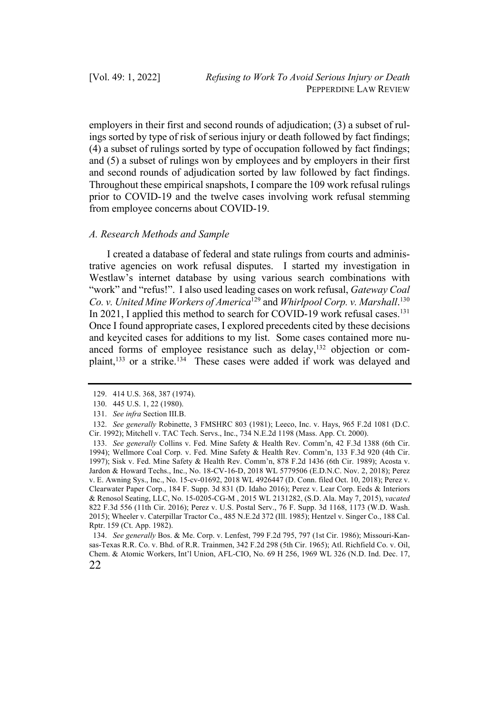employers in their first and second rounds of adjudication; (3) a subset of rulings sorted by type of risk of serious injury or death followed by fact findings; (4) a subset of rulings sorted by type of occupation followed by fact findings; and (5) a subset of rulings won by employees and by employers in their first and second rounds of adjudication sorted by law followed by fact findings. Throughout these empirical snapshots, I compare the 109 work refusal rulings prior to COVID-19 and the twelve cases involving work refusal stemming from employee concerns about COVID-19.

#### *A. Research Methods and Sample*

I created a database of federal and state rulings from courts and administrative agencies on work refusal disputes. I started my investigation in Westlaw's internet database by using various search combinations with "work" and "refus!". I also used leading cases on work refusal, *Gateway Coal Co. v. United Mine Workers of America*<sup>129</sup> and *Whirlpool Corp. v. Marshall*. 130 In 2021, I applied this method to search for COVID-19 work refusal cases.<sup>131</sup> Once I found appropriate cases, I explored precedents cited by these decisions and keycited cases for additions to my list. Some cases contained more nuanced forms of employee resistance such as delay, $132$  objection or complaint,<sup>133</sup> or a strike.<sup>134</sup> These cases were added if work was delayed and

22 134. *See generally* Bos. & Me. Corp. v. Lenfest, 799 F.2d 795, 797 (1st Cir. 1986); Missouri-Kansas-Texas R.R. Co. v. Bhd. of R.R. Trainmen, 342 F.2d 298 (5th Cir. 1965); Atl. Richfield Co. v. Oil, Chem. & Atomic Workers, Int'l Union, AFL-CIO, No. 69 H 256, 1969 WL 326 (N.D. Ind. Dec. 17,

<sup>129.</sup> 414 U.S. 368, 387 (1974).

<sup>130.</sup> 445 U.S. 1, 22 (1980).

<sup>131.</sup> *See infra* Section III.B.

<sup>132.</sup> *See generally* Robinette, 3 FMSHRC 803 (1981); Leeco, Inc. v. Hays, 965 F.2d 1081 (D.C. Cir. 1992); Mitchell v. TAC Tech. Servs., Inc., 734 N.E.2d 1198 (Mass. App. Ct. 2000).

<sup>133.</sup> *See generally* Collins v. Fed. Mine Safety & Health Rev. Comm'n, 42 F.3d 1388 (6th Cir. 1994); Wellmore Coal Corp. v. Fed. Mine Safety & Health Rev. Comm'n, 133 F.3d 920 (4th Cir. 1997); Sisk v. Fed. Mine Safety & Health Rev. Comm'n, 878 F.2d 1436 (6th Cir. 1989); Acosta v. Jardon & Howard Techs., Inc., No. 18-CV-16-D, 2018 WL 5779506 (E.D.N.C. Nov. 2, 2018); Perez v. E. Awning Sys., Inc., No. 15-cv-01692, 2018 WL 4926447 (D. Conn. filed Oct. 10, 2018); Perez v. Clearwater Paper Corp., 184 F. Supp. 3d 831 (D. Idaho 2016); Perez v. Lear Corp. Eeds & Interiors & Renosol Seating, LLC, No. 15-0205-CG-M , 2015 WL 2131282, (S.D. Ala. May 7, 2015), *vacated*  822 F.3d 556 (11th Cir. 2016); Perez v. U.S. Postal Serv., 76 F. Supp. 3d 1168, 1173 (W.D. Wash. 2015); Wheeler v. Caterpillar Tractor Co., 485 N.E.2d 372 (Ill. 1985); Hentzel v. Singer Co., 188 Cal. Rptr. 159 (Ct. App. 1982).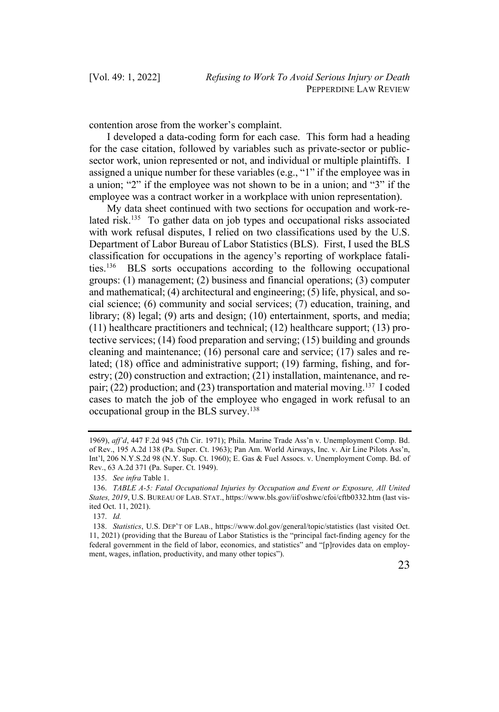contention arose from the worker's complaint.

I developed a data-coding form for each case. This form had a heading for the case citation, followed by variables such as private-sector or publicsector work, union represented or not, and individual or multiple plaintiffs. I assigned a unique number for these variables (e.g., "1" if the employee was in a union; "2" if the employee was not shown to be in a union; and "3" if the employee was a contract worker in a workplace with union representation).

My data sheet continued with two sections for occupation and work-related risk.<sup>135</sup> To gather data on job types and occupational risks associated with work refusal disputes, I relied on two classifications used by the U.S. Department of Labor Bureau of Labor Statistics (BLS). First, I used the BLS classification for occupations in the agency's reporting of workplace fatalities.136 BLS sorts occupations according to the following occupational groups: (1) management; (2) business and financial operations; (3) computer and mathematical; (4) architectural and engineering; (5) life, physical, and social science; (6) community and social services; (7) education, training, and library; (8) legal; (9) arts and design; (10) entertainment, sports, and media; (11) healthcare practitioners and technical; (12) healthcare support; (13) protective services; (14) food preparation and serving; (15) building and grounds cleaning and maintenance; (16) personal care and service; (17) sales and related; (18) office and administrative support; (19) farming, fishing, and forestry; (20) construction and extraction; (21) installation, maintenance, and repair; (22) production; and (23) transportation and material moving.<sup>137</sup> I coded cases to match the job of the employee who engaged in work refusal to an occupational group in the BLS survey.138

<sup>1969),</sup> *aff'd*, 447 F.2d 945 (7th Cir. 1971); Phila. Marine Trade Ass'n v. Unemployment Comp. Bd. of Rev., 195 A.2d 138 (Pa. Super. Ct. 1963); Pan Am. World Airways, Inc. v. Air Line Pilots Ass'n, Int'l, 206 N.Y.S.2d 98 (N.Y. Sup. Ct. 1960); E. Gas & Fuel Assocs. v. Unemployment Comp. Bd. of Rev., 63 A.2d 371 (Pa. Super. Ct. 1949).

<sup>135.</sup> *See infra* Table 1.

<sup>136.</sup> *TABLE A-5: Fatal Occupational Injuries by Occupation and Event or Exposure, All United States, 2019*, U.S. BUREAU OF LAB. STAT., https://www.bls.gov/iif/oshwc/cfoi/cftb0332.htm (last visited Oct. 11, 2021).

<sup>137.</sup> *Id.*

<sup>138.</sup> *Statistics*, U.S. DEP'T OF LAB., https://www.dol.gov/general/topic/statistics (last visited Oct. 11, 2021) (providing that the Bureau of Labor Statistics is the "principal fact-finding agency for the federal government in the field of labor, economics, and statistics" and "[p]rovides data on employment, wages, inflation, productivity, and many other topics").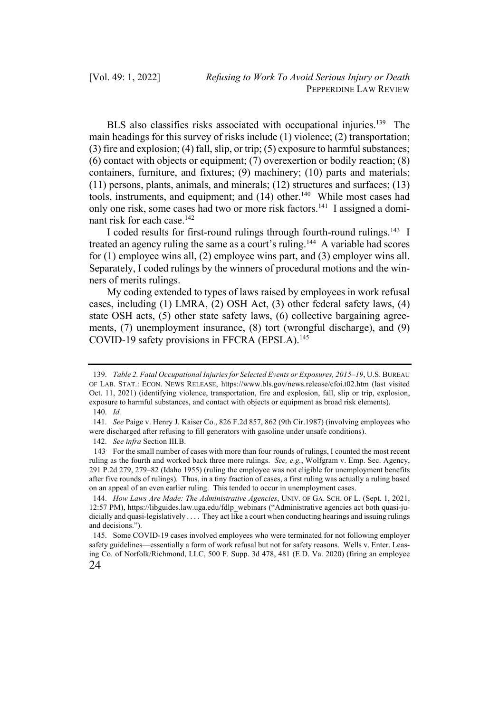BLS also classifies risks associated with occupational injuries.<sup>139</sup> The main headings for this survey of risks include (1) violence; (2) transportation; (3) fire and explosion; (4) fall, slip, or trip; (5) exposure to harmful substances; (6) contact with objects or equipment; (7) overexertion or bodily reaction; (8) containers, furniture, and fixtures; (9) machinery; (10) parts and materials; (11) persons, plants, animals, and minerals; (12) structures and surfaces; (13) tools, instruments, and equipment; and  $(14)$  other.<sup>140</sup> While most cases had only one risk, some cases had two or more risk factors.141 I assigned a dominant risk for each case.<sup>142</sup>

I coded results for first-round rulings through fourth-round rulings.143 I treated an agency ruling the same as a court's ruling.<sup>144</sup> A variable had scores for (1) employee wins all, (2) employee wins part, and (3) employer wins all. Separately, I coded rulings by the winners of procedural motions and the winners of merits rulings.

My coding extended to types of laws raised by employees in work refusal cases, including (1) LMRA, (2) OSH Act, (3) other federal safety laws, (4) state OSH acts, (5) other state safety laws, (6) collective bargaining agreements, (7) unemployment insurance, (8) tort (wrongful discharge), and (9) COVID-19 safety provisions in FFCRA (EPSLA).<sup>145</sup>

<sup>139.</sup> *Table 2. Fatal Occupational Injuries for Selected Events or Exposures, 2015–19*, U.S. BUREAU OF LAB. STAT.: ECON. NEWS RELEASE, https://www.bls.gov/news.release/cfoi.t02.htm (last visited Oct. 11, 2021) (identifying violence, transportation, fire and explosion, fall, slip or trip, explosion, exposure to harmful substances, and contact with objects or equipment as broad risk elements). 140. *Id.*

<sup>141.</sup> *See* Paige v. Henry J. Kaiser Co., 826 F.2d 857, 862 (9th Cir.1987) (involving employees who were discharged after refusing to fill generators with gasoline under unsafe conditions).

<sup>142.</sup> *See infra* Section III.B.

<sup>143</sup>. For the small number of cases with more than four rounds of rulings, I counted the most recent ruling as the fourth and worked back three more rulings. *See, e.g.*, Wolfgram v. Emp. Sec. Agency, 291 P.2d 279, 279–82 (Idaho 1955) (ruling the employee was not eligible for unemployment benefits after five rounds of rulings)*.* Thus, in a tiny fraction of cases, a first ruling was actually a ruling based on an appeal of an even earlier ruling. This tended to occur in unemployment cases.

<sup>144.</sup> *How Laws Are Made: The Administrative Agencies*, UNIV. OF GA. SCH. OF L. (Sept. 1, 2021, 12:57 PM), https://libguides.law.uga.edu/fdlp\_webinars ("Administrative agencies act both quasi-judicially and quasi-legislatively . . . . They act like a court when conducting hearings and issuing rulings and decisions.").

<sup>24</sup> 145. Some COVID-19 cases involved employees who were terminated for not following employer safety guidelines—essentially a form of work refusal but not for safety reasons. Wells v. Enter. Leasing Co. of Norfolk/Richmond, LLC, 500 F. Supp. 3d 478, 481 (E.D. Va. 2020) (firing an employee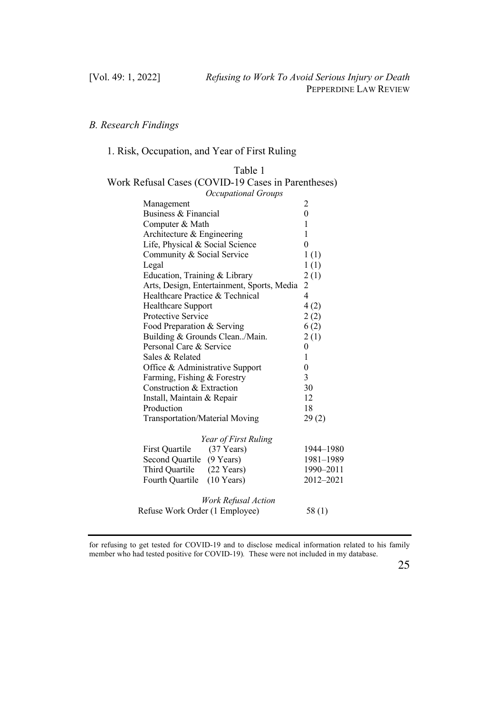# *B. Research Findings*

# 1. Risk, Occupation, and Year of First Ruling

Table 1

| Work Refusal Cases (COVID-19 Cases in Parentheses) |                |
|----------------------------------------------------|----------------|
| <b>Occupational Groups</b>                         |                |
| Management                                         | 2              |
| Business & Financial                               | $\mathbf{0}$   |
| Computer & Math                                    | 1              |
| Architecture & Engineering                         | 1              |
| Life, Physical & Social Science                    | $\theta$       |
| Community & Social Service                         | 1(1)           |
| Legal                                              | 1(1)           |
| Education, Training & Library                      | 2(1)           |
| Arts, Design, Entertainment, Sports, Media         | 2              |
| Healthcare Practice & Technical                    | $\overline{4}$ |
| Healthcare Support                                 | 4(2)           |
| Protective Service                                 | 2(2)           |
| Food Preparation & Serving                         | 6(2)           |
| Building & Grounds Clean/Main.                     | 2(1)           |
| Personal Care & Service                            | 0              |
| Sales & Related                                    | 1              |
| Office & Administrative Support                    | $\mathbf{0}$   |
| Farming, Fishing & Forestry                        | 3              |
| Construction & Extraction                          | 30             |
| Install, Maintain & Repair                         | 12             |
| Production                                         | 18             |
| <b>Transportation/Material Moving</b>              | 29(2)          |
| Year of First Ruling                               |                |
| First Ouartile<br>$(37$ Years)                     | 1944-1980      |
| Second Quartile (9 Years)                          | 1981-1989      |
| Third Quartile (22 Years)                          | 1990-2011      |
| Fourth Quartile<br>$(10$ Years)                    | 2012-2021      |
| Work Refusal Action                                |                |
| Refuse Work Order (1 Employee)                     | 58(1)          |

for refusing to get tested for COVID-19 and to disclose medical information related to his family member who had tested positive for COVID-19)*.* These were not included in my database.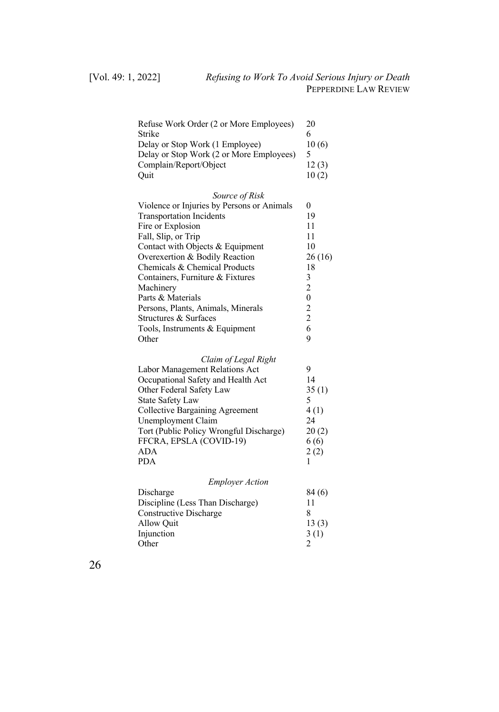| 10(6) |
|-------|
|       |
| 12(3) |
| 10(2) |
|       |

| Source of Risk                             |        |
|--------------------------------------------|--------|
| Violence or Injuries by Persons or Animals | 0      |
| <b>Transportation Incidents</b>            | 19     |
| Fire or Explosion                          | 11     |
| Fall, Slip, or Trip                        | 11     |
| Contact with Objects & Equipment           | 10     |
| Overexertion & Bodily Reaction             | 26(16) |
| Chemicals & Chemical Products              | 18     |
| Containers, Furniture & Fixtures           | 3      |
| Machinery                                  | 2      |
| Parts & Materials                          |        |
| Persons, Plants, Animals, Minerals         | 2      |
| Structures & Surfaces                      | 2      |
| Tools, Instruments $&$ Equipment           |        |
| Other                                      |        |
|                                            |        |

| Claim of Legal Right                    |       |
|-----------------------------------------|-------|
| Labor Management Relations Act          | 9     |
| Occupational Safety and Health Act      | 14    |
| Other Federal Safety Law                | 35(1) |
| <b>State Safety Law</b>                 |       |
| Collective Bargaining Agreement         | 4(1)  |
| Unemployment Claim                      | 24    |
| Tort (Public Policy Wrongful Discharge) | 20(2) |
| FFCRA, EPSLA (COVID-19)                 | 6(6)  |
| <b>ADA</b>                              | 2(2)  |
| <b>PDA</b>                              |       |

| <b>Employer Action</b>           |        |  |
|----------------------------------|--------|--|
| Discharge                        | 84 (6) |  |
| Discipline (Less Than Discharge) | 11     |  |
| Constructive Discharge           | 8      |  |
| Allow Ouit                       | 13(3)  |  |
| Injunction                       | 3(1)   |  |
| Other                            |        |  |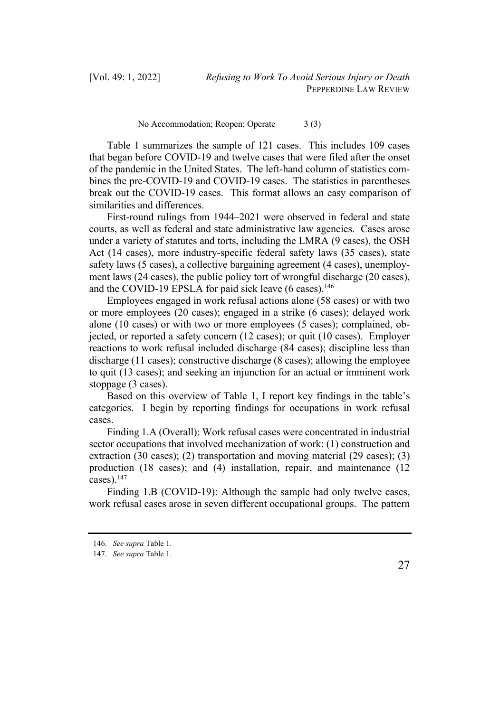No Accommodation; Reopen; Operate 3 (3)

Table 1 summarizes the sample of 121 cases. This includes 109 cases that began before COVID-19 and twelve cases that were filed after the onset of the pandemic in the United States. The left-hand column of statistics combines the pre-COVID-19 and COVID-19 cases. The statistics in parentheses break out the COVID-19 cases. This format allows an easy comparison of similarities and differences.

First-round rulings from 1944–2021 were observed in federal and state courts, as well as federal and state administrative law agencies. Cases arose under a variety of statutes and torts, including the LMRA (9 cases), the OSH Act (14 cases), more industry-specific federal safety laws (35 cases), state safety laws (5 cases), a collective bargaining agreement (4 cases), unemployment laws (24 cases), the public policy tort of wrongful discharge (20 cases), and the COVID-19 EPSLA for paid sick leave  $(6 \text{ cases})$ .<sup>146</sup>

Employees engaged in work refusal actions alone (58 cases) or with two or more employees (20 cases); engaged in a strike (6 cases); delayed work alone (10 cases) or with two or more employees (5 cases); complained, objected, or reported a safety concern (12 cases); or quit (10 cases). Employer reactions to work refusal included discharge (84 cases); discipline less than discharge (11 cases); constructive discharge (8 cases); allowing the employee to quit (13 cases); and seeking an injunction for an actual or imminent work stoppage (3 cases).

Based on this overview of Table 1, I report key findings in the table's categories. I begin by reporting findings for occupations in work refusal cases.

Finding 1.A (Overall): Work refusal cases were concentrated in industrial sector occupations that involved mechanization of work: (1) construction and extraction (30 cases); (2) transportation and moving material (29 cases); (3) production (18 cases); and (4) installation, repair, and maintenance (12 cases). $147$ 

Finding 1.B (COVID-19): Although the sample had only twelve cases, work refusal cases arose in seven different occupational groups. The pattern

<sup>146.</sup> *See supra* Table 1.

<sup>147.</sup> *See supra* Table 1.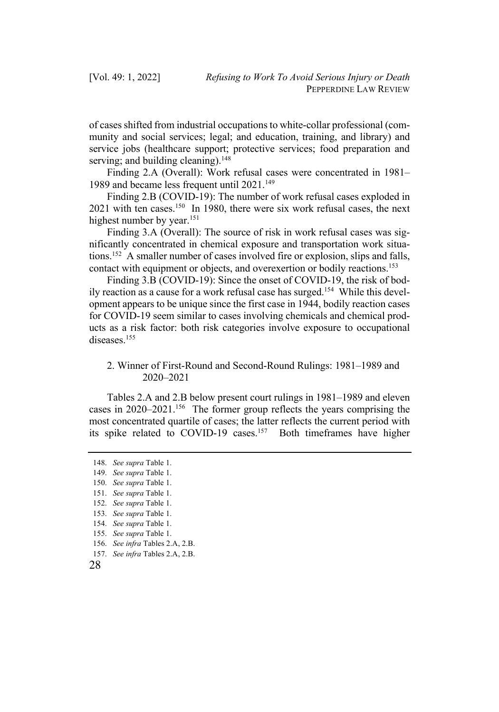of cases shifted from industrial occupations to white-collar professional (community and social services; legal; and education, training, and library) and service jobs (healthcare support; protective services; food preparation and serving; and building cleaning).  $148$ 

Finding 2.A (Overall): Work refusal cases were concentrated in 1981– 1989 and became less frequent until 2021.<sup>149</sup>

Finding 2.B (COVID-19): The number of work refusal cases exploded in 2021 with ten cases.150 In 1980, there were six work refusal cases, the next highest number by year.<sup>151</sup>

Finding 3.A (Overall): The source of risk in work refusal cases was significantly concentrated in chemical exposure and transportation work situations.152 A smaller number of cases involved fire or explosion, slips and falls, contact with equipment or objects, and overexertion or bodily reactions.<sup>153</sup>

Finding 3.B (COVID-19): Since the onset of COVID-19, the risk of bodily reaction as a cause for a work refusal case has surged.154 While this development appears to be unique since the first case in 1944, bodily reaction cases for COVID-19 seem similar to cases involving chemicals and chemical products as a risk factor: both risk categories involve exposure to occupational diseases.<sup>155</sup>

# 2. Winner of First-Round and Second-Round Rulings: 1981–1989 and 2020–2021

Tables 2.A and 2.B below present court rulings in 1981–1989 and eleven cases in 2020–2021.156 The former group reflects the years comprising the most concentrated quartile of cases; the latter reflects the current period with its spike related to COVID-19 cases.<sup>157</sup> Both timeframes have higher

157. *See infra* Tables 2.A, 2.B.

28

<sup>148.</sup> *See supra* Table 1.

<sup>149.</sup> *See supra* Table 1.

<sup>150.</sup> *See supra* Table 1.

<sup>151.</sup> *See supra* Table 1.

<sup>152.</sup> *See supra* Table 1.

<sup>153.</sup> *See supra* Table 1.

<sup>154.</sup> *See supra* Table 1.

<sup>155.</sup> *See supra* Table 1.

<sup>156.</sup> *See infra* Tables 2.A, 2.B.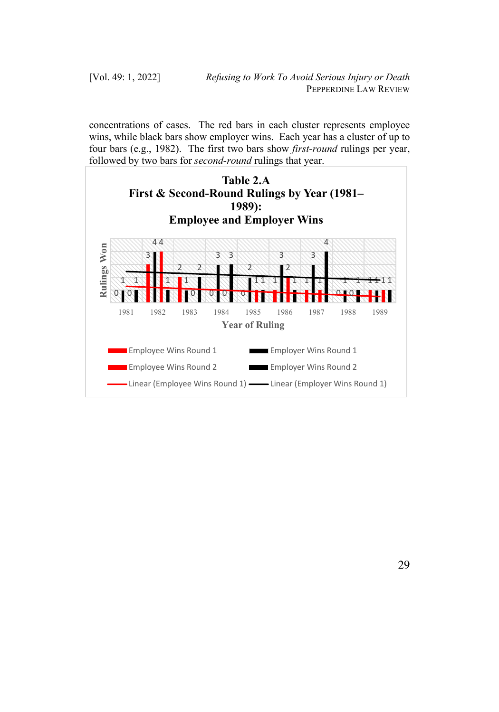concentrations of cases. The red bars in each cluster represents employee wins, while black bars show employer wins. Each year has a cluster of up to four bars (e.g., 1982). The first two bars show *first-round* rulings per year, followed by two bars for *second-round* rulings that year.

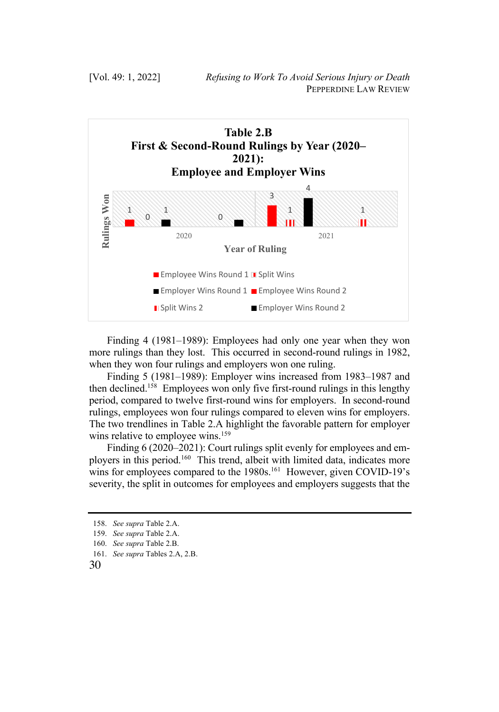

Finding 4 (1981–1989): Employees had only one year when they won more rulings than they lost. This occurred in second-round rulings in 1982, when they won four rulings and employers won one ruling.

Finding 5 (1981–1989): Employer wins increased from 1983–1987 and then declined.158 Employees won only five first-round rulings in this lengthy period, compared to twelve first-round wins for employers. In second-round rulings, employees won four rulings compared to eleven wins for employers. The two trendlines in Table 2.A highlight the favorable pattern for employer wins relative to employee wins.<sup>159</sup>

Finding 6 (2020–2021): Court rulings split evenly for employees and employers in this period.<sup>160</sup> This trend, albeit with limited data, indicates more wins for employees compared to the 1980s.<sup>161</sup> However, given COVID-19's severity, the split in outcomes for employees and employers suggests that the

<sup>158.</sup> *See supra* Table 2.A.

<sup>159.</sup> *See supra* Table 2.A.

<sup>160.</sup> *See supra* Table 2.B.

<sup>161.</sup> *See supra* Tables 2.A, 2.B.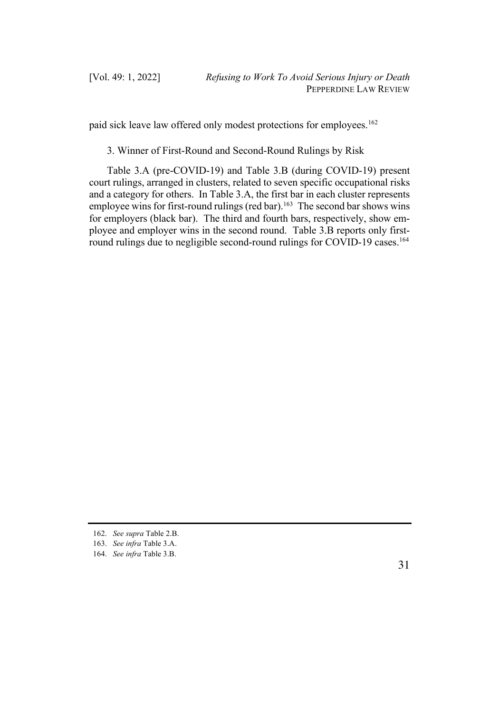paid sick leave law offered only modest protections for employees.<sup>162</sup>

3. Winner of First-Round and Second-Round Rulings by Risk

Table 3.A (pre-COVID-19) and Table 3.B (during COVID-19) present court rulings, arranged in clusters, related to seven specific occupational risks and a category for others. In Table 3.A, the first bar in each cluster represents employee wins for first-round rulings (red bar).<sup>163</sup> The second bar shows wins for employers (black bar). The third and fourth bars, respectively, show employee and employer wins in the second round. Table 3.B reports only firstround rulings due to negligible second-round rulings for COVID-19 cases.<sup>164</sup>

<sup>162.</sup> *See supra* Table 2.B.

<sup>163.</sup> *See infra* Table 3.A.

<sup>164.</sup> *See infra* Table 3.B.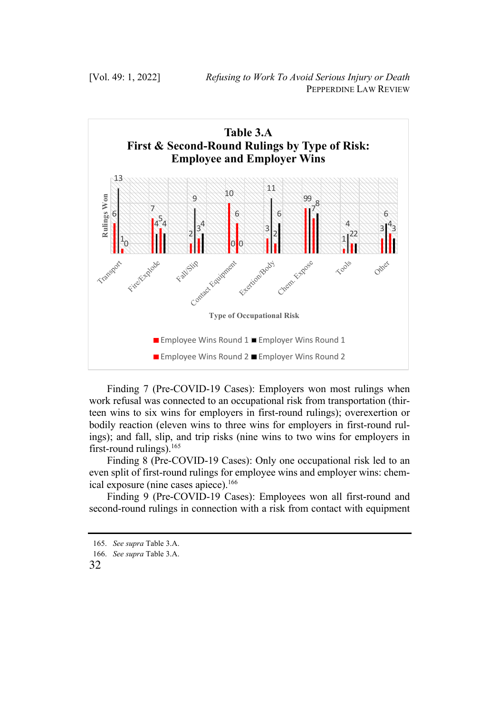

Finding 7 (Pre-COVID-19 Cases): Employers won most rulings when work refusal was connected to an occupational risk from transportation (thirteen wins to six wins for employers in first-round rulings); overexertion or bodily reaction (eleven wins to three wins for employers in first-round rulings); and fall, slip, and trip risks (nine wins to two wins for employers in first-round rulings).<sup>165</sup>

Finding 8 (Pre-COVID-19 Cases): Only one occupational risk led to an even split of first-round rulings for employee wins and employer wins: chemical exposure (nine cases apiece).<sup>166</sup>

Finding 9 (Pre-COVID-19 Cases): Employees won all first-round and second-round rulings in connection with a risk from contact with equipment

<sup>165.</sup> *See supra* Table 3.A.

<sup>166.</sup> *See supra* Table 3.A.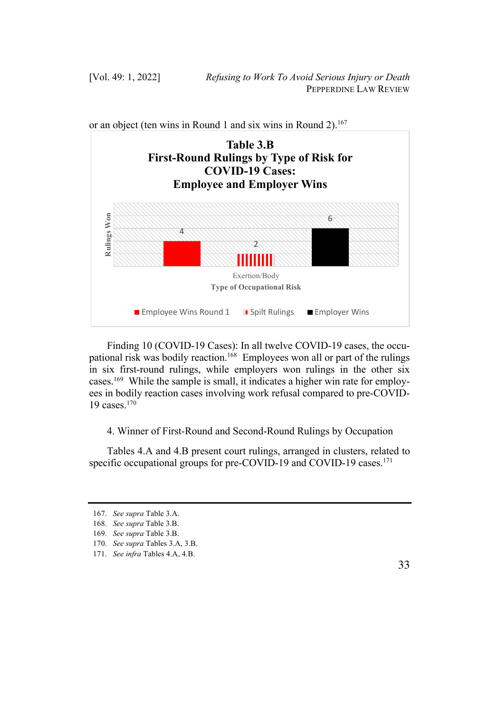

or an object (ten wins in Round 1 and six wins in Round 2).<sup>167</sup>

Finding 10 (COVID-19 Cases): In all twelve COVID-19 cases, the occupational risk was bodily reaction.<sup>168</sup> Employees won all or part of the rulings in six first-round rulings, while employers won rulings in the other six cases.169 While the sample is small, it indicates a higher win rate for employees in bodily reaction cases involving work refusal compared to pre-COVID-19 cases.170

4. Winner of First-Round and Second-Round Rulings by Occupation

Tables 4.A and 4.B present court rulings, arranged in clusters, related to specific occupational groups for pre-COVID-19 and COVID-19 cases.<sup>171</sup>

<sup>167.</sup> *See supra* Table 3.A.

<sup>168.</sup> *See supra* Table 3.B.

<sup>169.</sup> *See supra* Table 3.B.

<sup>170.</sup> *See supra* Tables 3.A, 3.B.

<sup>171.</sup> *See infra* Tables 4.A, 4.B.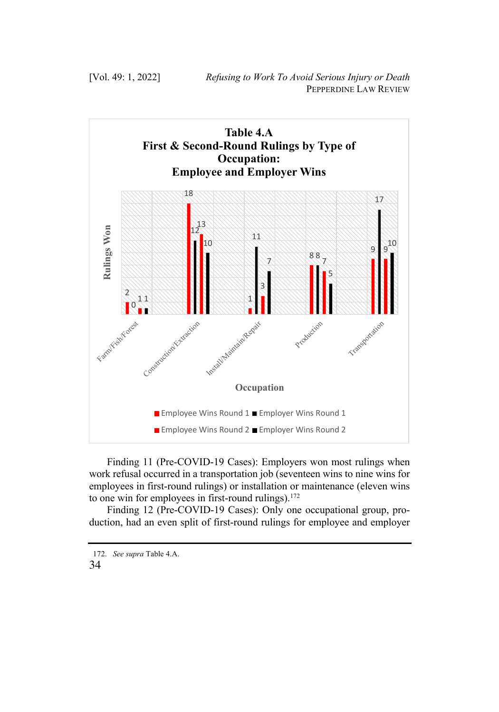

Finding 11 (Pre-COVID-19 Cases): Employers won most rulings when work refusal occurred in a transportation job (seventeen wins to nine wins for employees in first-round rulings) or installation or maintenance (eleven wins to one win for employees in first-round rulings). $172$ 

Finding 12 (Pre-COVID-19 Cases): Only one occupational group, production, had an even split of first-round rulings for employee and employer

<sup>172.</sup> *See supra* Table 4.A.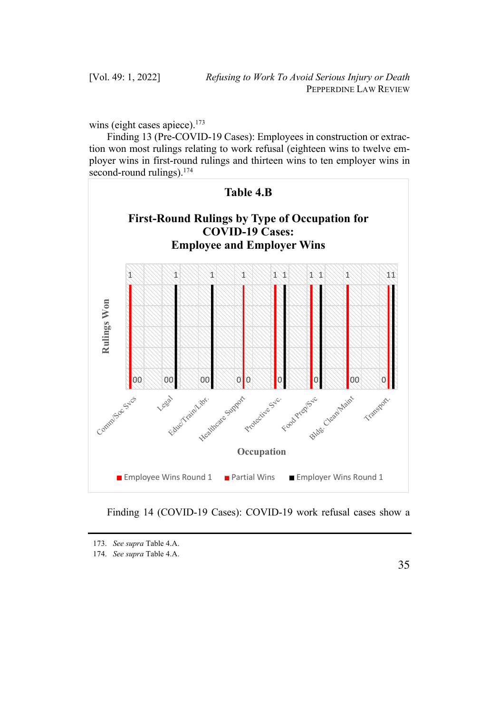wins (eight cases apiece). $173$ 

Finding 13 (Pre-COVID-19 Cases): Employees in construction or extraction won most rulings relating to work refusal (eighteen wins to twelve employer wins in first-round rulings and thirteen wins to ten employer wins in second-round rulings).<sup>174</sup>



Finding 14 (COVID-19 Cases): COVID-19 work refusal cases show a

<sup>173.</sup> *See supra* Table 4.A.

<sup>174.</sup> *See supra* Table 4.A.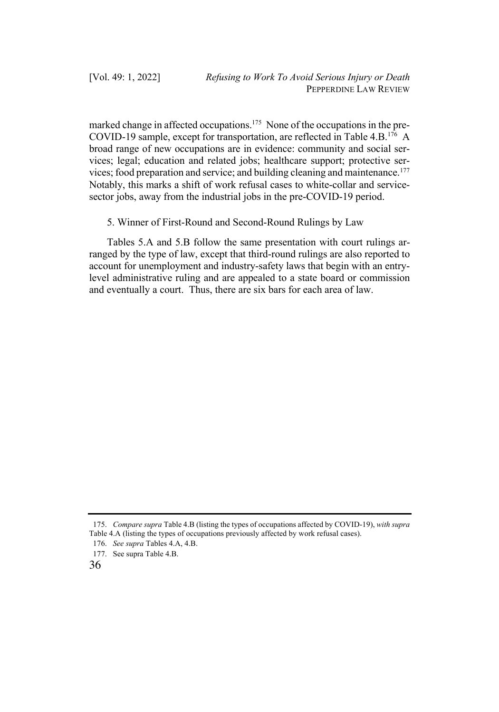marked change in affected occupations.<sup>175</sup> None of the occupations in the pre-COVID-19 sample, except for transportation, are reflected in Table 4.B.176 A broad range of new occupations are in evidence: community and social services; legal; education and related jobs; healthcare support; protective services; food preparation and service; and building cleaning and maintenance.<sup>177</sup> Notably, this marks a shift of work refusal cases to white-collar and servicesector jobs, away from the industrial jobs in the pre-COVID-19 period.

5. Winner of First-Round and Second-Round Rulings by Law

Tables 5.A and 5.B follow the same presentation with court rulings arranged by the type of law, except that third-round rulings are also reported to account for unemployment and industry-safety laws that begin with an entrylevel administrative ruling and are appealed to a state board or commission and eventually a court. Thus, there are six bars for each area of law.

<sup>175.</sup> *Compare supra* Table 4.B (listing the types of occupations affected by COVID-19), *with supra*  Table 4.A (listing the types of occupations previously affected by work refusal cases).

<sup>176.</sup> *See supra* Tables 4.A, 4.B.

<sup>177.</sup> See supra Table 4.B.

<sup>36</sup>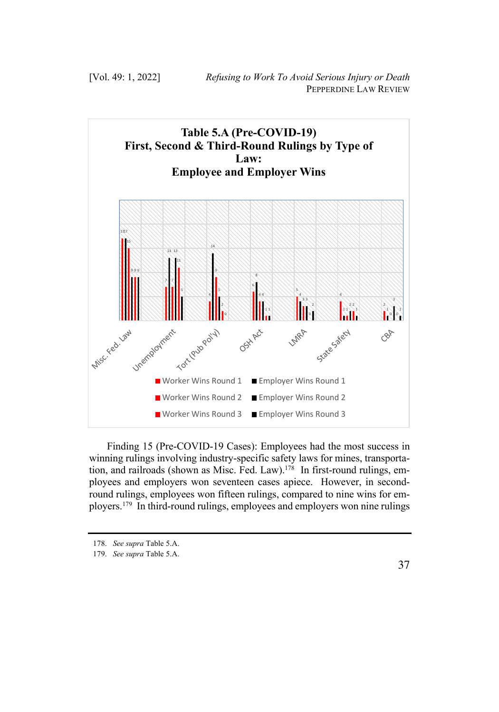

Finding 15 (Pre-COVID-19 Cases): Employees had the most success in winning rulings involving industry-specific safety laws for mines, transportation, and railroads (shown as Misc. Fed. Law).<sup>178</sup> In first-round rulings, employees and employers won seventeen cases apiece. However, in secondround rulings, employees won fifteen rulings, compared to nine wins for employers.179 In third-round rulings, employees and employers won nine rulings

<sup>178.</sup> *See supra* Table 5.A.

<sup>179.</sup> *See supra* Table 5.A.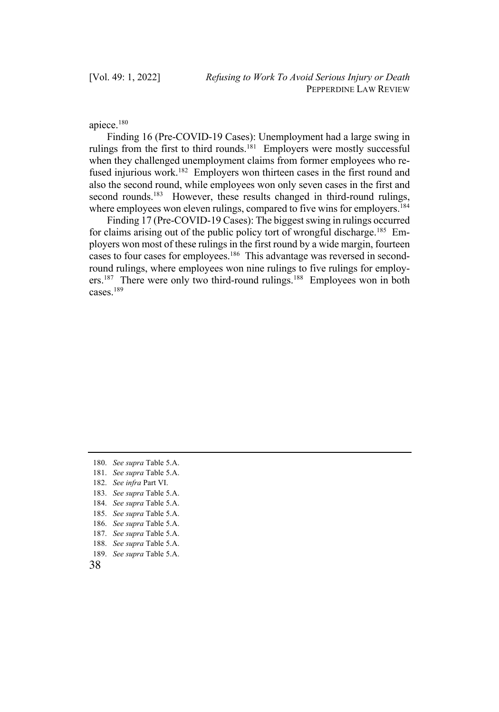apiece.180

Finding 16 (Pre-COVID-19 Cases): Unemployment had a large swing in rulings from the first to third rounds.<sup>181</sup> Employers were mostly successful when they challenged unemployment claims from former employees who refused injurious work.<sup>182</sup> Employers won thirteen cases in the first round and also the second round, while employees won only seven cases in the first and second rounds.<sup>183</sup> However, these results changed in third-round rulings, where employees won eleven rulings, compared to five wins for employers.<sup>184</sup>

Finding 17 (Pre-COVID-19 Cases): The biggest swing in rulings occurred for claims arising out of the public policy tort of wrongful discharge.<sup>185</sup> Employers won most of these rulings in the first round by a wide margin, fourteen cases to four cases for employees.<sup>186</sup> This advantage was reversed in secondround rulings, where employees won nine rulings to five rulings for employers.<sup>187</sup> There were only two third-round rulings.<sup>188</sup> Employees won in both cases.189

189. *See supra* Table 5.A.

<sup>180.</sup> *See supra* Table 5.A.

<sup>181.</sup> *See supra* Table 5.A.

<sup>182.</sup> *See infra* Part VI.

<sup>183.</sup> *See supra* Table 5.A.

<sup>184.</sup> *See supra* Table 5.A.

<sup>185.</sup> *See supra* Table 5.A.

<sup>186.</sup> *See supra* Table 5.A.

<sup>187.</sup> *See supra* Table 5.A.

<sup>188.</sup> *See supra* Table 5.A.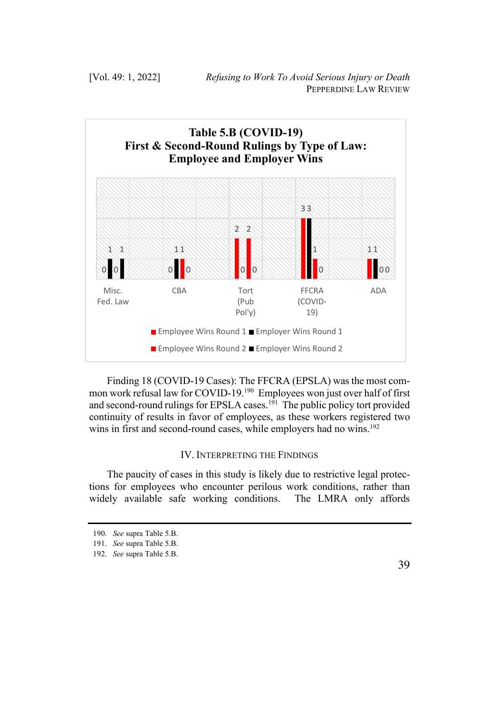

Finding 18 (COVID-19 Cases): The FFCRA (EPSLA) was the most common work refusal law for COVID-19.<sup>190</sup> Employees won just over half of first and second-round rulings for EPSLA cases.<sup>191</sup> The public policy tort provided continuity of results in favor of employees, as these workers registered two wins in first and second-round cases, while employers had no wins.<sup>192</sup>

# IV. INTERPRETING THE FINDINGS

The paucity of cases in this study is likely due to restrictive legal protections for employees who encounter perilous work conditions, rather than widely available safe working conditions. The LMRA only affords

<sup>190.</sup> *See* supra Table 5.B.

<sup>191.</sup> *See* supra Table 5.B. 192. *See* supra Table 5.B.

<sup>39</sup>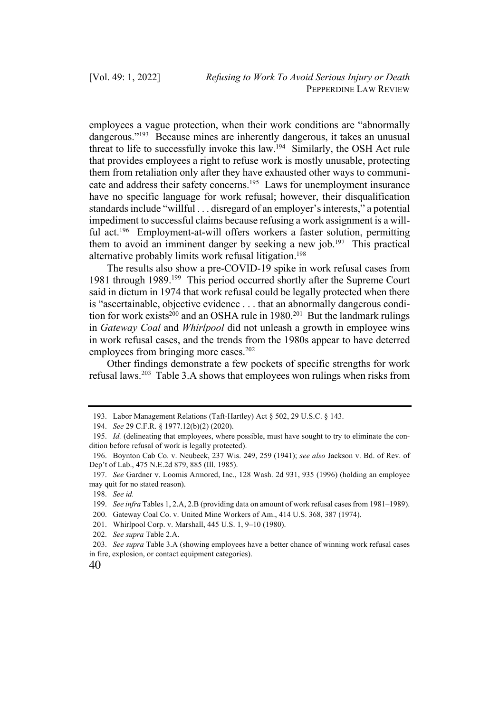employees a vague protection, when their work conditions are "abnormally dangerous."<sup>193</sup> Because mines are inherently dangerous, it takes an unusual threat to life to successfully invoke this law.<sup>194</sup> Similarly, the OSH Act rule that provides employees a right to refuse work is mostly unusable, protecting them from retaliation only after they have exhausted other ways to communicate and address their safety concerns.<sup>195</sup> Laws for unemployment insurance have no specific language for work refusal; however, their disqualification standards include "willful . . . disregard of an employer's interests," a potential impediment to successful claims because refusing a work assignment is a willful act.<sup>196</sup> Employment-at-will offers workers a faster solution, permitting them to avoid an imminent danger by seeking a new job.<sup>197</sup> This practical alternative probably limits work refusal litigation.<sup>198</sup>

The results also show a pre-COVID-19 spike in work refusal cases from 1981 through 1989.<sup>199</sup> This period occurred shortly after the Supreme Court said in dictum in 1974 that work refusal could be legally protected when there is "ascertainable, objective evidence . . . that an abnormally dangerous condition for work exists<sup>200</sup> and an OSHA rule in  $1980$ <sup>201</sup> But the landmark rulings in *Gateway Coal* and *Whirlpool* did not unleash a growth in employee wins in work refusal cases, and the trends from the 1980s appear to have deterred employees from bringing more cases. $202$ 

Other findings demonstrate a few pockets of specific strengths for work refusal laws.203 Table 3.A shows that employees won rulings when risks from

201. Whirlpool Corp. v. Marshall, 445 U.S. 1, 9–10 (1980).

<sup>193.</sup> Labor Management Relations (Taft-Hartley) Act § 502, 29 U.S.C. § 143.

<sup>194.</sup> *See* 29 C.F.R. § 1977.12(b)(2) (2020).

<sup>195.</sup> *Id.* (delineating that employees, where possible, must have sought to try to eliminate the condition before refusal of work is legally protected).

<sup>196.</sup> Boynton Cab Co. v. Neubeck, 237 Wis. 249, 259 (1941); *see also* Jackson v. Bd. of Rev. of Dep't of Lab., 475 N.E.2d 879, 885 (Ill. 1985).

<sup>197.</sup> *See* Gardner v. Loomis Armored, Inc., 128 Wash. 2d 931, 935 (1996) (holding an employee may quit for no stated reason).

<sup>198.</sup> *See id.* 

<sup>199.</sup> *See infra* Tables 1, 2.A, 2.B (providing data on amount of work refusal cases from 1981–1989).

<sup>200.</sup> Gateway Coal Co. v. United Mine Workers of Am., 414 U.S. 368, 387 (1974).

<sup>202.</sup> *See supra* Table 2.A.

<sup>203.</sup> *See supra* Table 3.A (showing employees have a better chance of winning work refusal cases in fire, explosion, or contact equipment categories).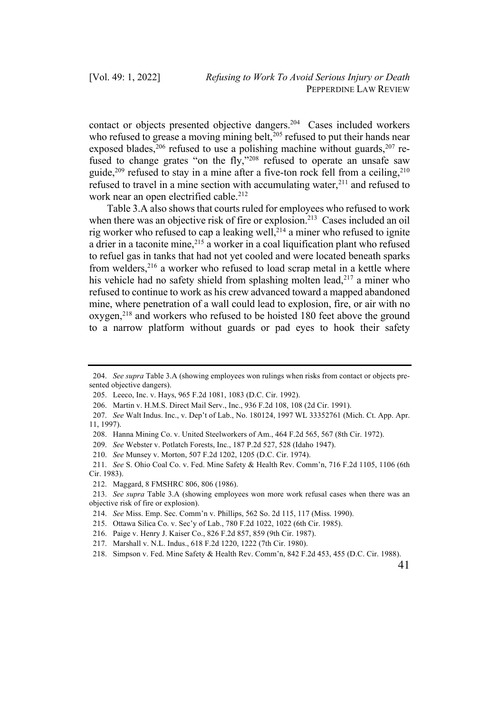contact or objects presented objective dangers.204 Cases included workers who refused to grease a moving mining belt, $^{205}$  refused to put their hands near exposed blades,<sup>206</sup> refused to use a polishing machine without guards,<sup>207</sup> refused to change grates "on the fly,"<sup>208</sup> refused to operate an unsafe saw guide,<sup>209</sup> refused to stay in a mine after a five-ton rock fell from a ceiling,<sup>210</sup> refused to travel in a mine section with accumulating water, $2^{11}$  and refused to work near an open electrified cable.<sup>212</sup>

Table 3.A also shows that courts ruled for employees who refused to work when there was an objective risk of fire or explosion.<sup>213</sup> Cases included an oil rig worker who refused to cap a leaking well, $^{214}$  a miner who refused to ignite a drier in a taconite mine,<sup>215</sup> a worker in a coal liquification plant who refused to refuel gas in tanks that had not yet cooled and were located beneath sparks from welders,  $216$  a worker who refused to load scrap metal in a kettle where his vehicle had no safety shield from splashing molten lead,  $2^{17}$  a miner who refused to continue to work as his crew advanced toward a mapped abandoned mine, where penetration of a wall could lead to explosion, fire, or air with no oxygen,<sup>218</sup> and workers who refused to be hoisted 180 feet above the ground to a narrow platform without guards or pad eyes to hook their safety

<sup>204.</sup> *See supra* Table 3.A (showing employees won rulings when risks from contact or objects presented objective dangers).

<sup>205.</sup> Leeco, Inc. v. Hays, 965 F.2d 1081, 1083 (D.C. Cir. 1992).

<sup>206.</sup> Martin v. H.M.S. Direct Mail Serv., Inc., 936 F.2d 108, 108 (2d Cir. 1991).

<sup>207.</sup> *See* Walt Indus. Inc., v. Dep't of Lab., No. 180124, 1997 WL 33352761 (Mich. Ct. App. Apr. 11, 1997).

<sup>208.</sup> Hanna Mining Co. v. United Steelworkers of Am., 464 F.2d 565, 567 (8th Cir. 1972).

<sup>209.</sup> *See* Webster v. Potlatch Forests, Inc., 187 P.2d 527, 528 (Idaho 1947).

<sup>210.</sup> *See* Munsey v. Morton, 507 F.2d 1202, 1205 (D.C. Cir. 1974).

<sup>211.</sup> *See* S. Ohio Coal Co. v. Fed. Mine Safety & Health Rev. Comm'n, 716 F.2d 1105, 1106 (6th Cir. 1983).

<sup>212.</sup> Maggard, 8 FMSHRC 806, 806 (1986).

<sup>213.</sup> *See supra* Table 3.A (showing employees won more work refusal cases when there was an objective risk of fire or explosion).

<sup>214.</sup> *See* Miss. Emp. Sec. Comm'n v. Phillips, 562 So. 2d 115, 117 (Miss. 1990).

<sup>215.</sup> Ottawa Silica Co. v. Sec'y of Lab., 780 F.2d 1022, 1022 (6th Cir. 1985).

<sup>216.</sup> Paige v. Henry J. Kaiser Co., 826 F.2d 857, 859 (9th Cir. 1987).

<sup>217.</sup> Marshall v. N.L. Indus., 618 F.2d 1220, 1222 (7th Cir. 1980).

<sup>218.</sup> Simpson v. Fed. Mine Safety & Health Rev. Comm'n, 842 F.2d 453, 455 (D.C. Cir. 1988).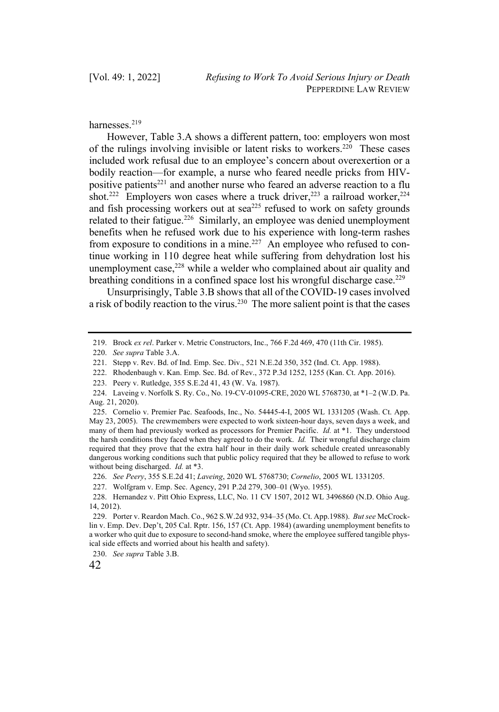#### harnesses.219

However, Table 3.A shows a different pattern, too: employers won most of the rulings involving invisible or latent risks to workers.<sup>220</sup> These cases included work refusal due to an employee's concern about overexertion or a bodily reaction—for example, a nurse who feared needle pricks from HIVpositive patients<sup>221</sup> and another nurse who feared an adverse reaction to a flu shot.<sup>222</sup> Employers won cases where a truck driver,<sup>223</sup> a railroad worker,<sup>224</sup> and fish processing workers out at  $\text{sea}^{225}$  refused to work on safety grounds related to their fatigue.<sup>226</sup> Similarly, an employee was denied unemployment benefits when he refused work due to his experience with long-term rashes from exposure to conditions in a mine.<sup>227</sup> An employee who refused to continue working in 110 degree heat while suffering from dehydration lost his unemployment case, $228$  while a welder who complained about air quality and breathing conditions in a confined space lost his wrongful discharge case.<sup>229</sup>

Unsurprisingly, Table 3.B shows that all of the COVID-19 cases involved a risk of bodily reaction to the virus.230 The more salient point is that the cases

222. Rhodenbaugh v. Kan. Emp. Sec. Bd. of Rev., 372 P.3d 1252, 1255 (Kan. Ct. App. 2016).

230. *See supra* Table 3.B.

<sup>219.</sup> Brock *ex rel*. Parker v. Metric Constructors, Inc., 766 F.2d 469, 470 (11th Cir. 1985).

<sup>220.</sup> *See supra* Table 3.A.

<sup>221.</sup> Stepp v. Rev. Bd. of Ind. Emp. Sec. Div., 521 N.E.2d 350, 352 (Ind. Ct. App. 1988).

<sup>223.</sup> Peery v. Rutledge, 355 S.E.2d 41, 43 (W. Va. 1987).

<sup>224.</sup> Laveing v. Norfolk S. Ry. Co., No. 19-CV-01095-CRE, 2020 WL 5768730, at \*1–2 (W.D. Pa. Aug. 21, 2020).

<sup>225.</sup> Cornelio v. Premier Pac. Seafoods, Inc., No. 54445-4-I, 2005 WL 1331205 (Wash. Ct. App. May 23, 2005). The crewmembers were expected to work sixteen-hour days, seven days a week, and many of them had previously worked as processors for Premier Pacific. *Id.* at \*1. They understood the harsh conditions they faced when they agreed to do the work. *Id.* Their wrongful discharge claim required that they prove that the extra half hour in their daily work schedule created unreasonably dangerous working conditions such that public policy required that they be allowed to refuse to work without being discharged. *Id.* at \*3.

<sup>226.</sup> *See Peery*, 355 S.E.2d 41; *Laveing*, 2020 WL 5768730; *Cornelio*, 2005 WL 1331205.

<sup>227.</sup> Wolfgram v. Emp. Sec. Agency, 291 P.2d 279, 300–01 (Wyo. 1955).

<sup>228.</sup> Hernandez v. Pitt Ohio Express, LLC, No. 11 CV 1507, 2012 WL 3496860 (N.D. Ohio Aug. 14, 2012).

<sup>229.</sup> Porter v. Reardon Mach. Co., 962 S.W.2d 932, 934–35 (Mo. Ct. App.1988). *But see* McCrocklin v. Emp. Dev. Dep't, 205 Cal. Rptr. 156, 157 (Ct. App. 1984) (awarding unemployment benefits to a worker who quit due to exposure to second-hand smoke, where the employee suffered tangible physical side effects and worried about his health and safety).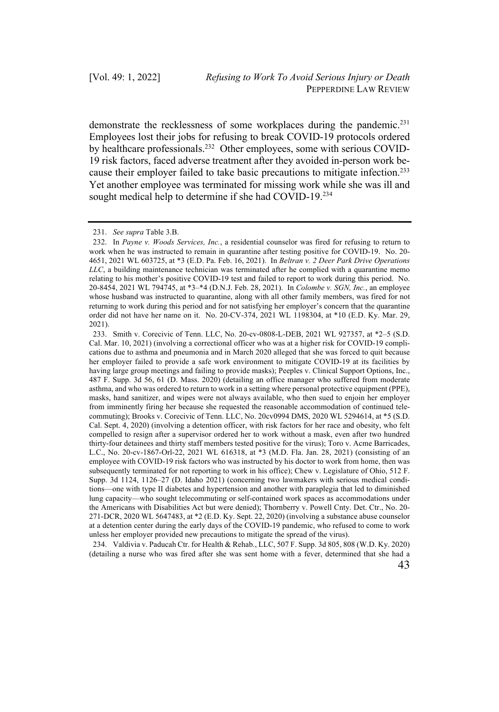demonstrate the recklessness of some workplaces during the pandemic.<sup>231</sup> Employees lost their jobs for refusing to break COVID-19 protocols ordered by healthcare professionals.<sup>232</sup> Other employees, some with serious COVID-19 risk factors, faced adverse treatment after they avoided in-person work because their employer failed to take basic precautions to mitigate infection.<sup>233</sup> Yet another employee was terminated for missing work while she was ill and sought medical help to determine if she had COVID-19.<sup>234</sup>

234. Valdivia v. Paducah Ctr. for Health & Rehab., LLC, 507 F. Supp. 3d 805, 808 (W.D. Ky. 2020) (detailing a nurse who was fired after she was sent home with a fever, determined that she had a

<sup>231.</sup> *See supra* Table 3.B.

<sup>232.</sup> In *Payne v. Woods Services, Inc.*, a residential counselor was fired for refusing to return to work when he was instructed to remain in quarantine after testing positive for COVID-19. No. 20- 4651, 2021 WL 603725, at \*3 (E.D. Pa. Feb. 16, 2021). In *Beltran v. 2 Deer Park Drive Operations LLC*, a building maintenance technician was terminated after he complied with a quarantine memo relating to his mother's positive COVID-19 test and failed to report to work during this period. No. 20-8454, 2021 WL 794745, at \*3–\*4 (D.N.J. Feb. 28, 2021). In *Colombe v. SGN, Inc.*, an employee whose husband was instructed to quarantine, along with all other family members, was fired for not returning to work during this period and for not satisfying her employer's concern that the quarantine order did not have her name on it. No. 20-CV-374, 2021 WL 1198304, at \*10 (E.D. Ky. Mar. 29, 2021).

<sup>233.</sup> Smith v. Corecivic of Tenn. LLC, No. 20-cv-0808-L-DEB, 2021 WL 927357, at \*2–5 (S.D. Cal. Mar. 10, 2021) (involving a correctional officer who was at a higher risk for COVID-19 complications due to asthma and pneumonia and in March 2020 alleged that she was forced to quit because her employer failed to provide a safe work environment to mitigate COVID-19 at its facilities by having large group meetings and failing to provide masks); Peeples v. Clinical Support Options, Inc., 487 F. Supp. 3d 56, 61 (D. Mass. 2020) (detailing an office manager who suffered from moderate asthma, and who was ordered to return to work in a setting where personal protective equipment (PPE), masks, hand sanitizer, and wipes were not always available, who then sued to enjoin her employer from imminently firing her because she requested the reasonable accommodation of continued telecommuting); Brooks v. Corecivic of Tenn. LLC, No. 20cv0994 DMS, 2020 WL 5294614, at \*5 (S.D. Cal. Sept. 4, 2020) (involving a detention officer, with risk factors for her race and obesity, who felt compelled to resign after a supervisor ordered her to work without a mask, even after two hundred thirty-four detainees and thirty staff members tested positive for the virus); Toro v. Acme Barricades, L.C., No. 20-cv-1867-Orl-22, 2021 WL 616318, at \*3 (M.D. Fla. Jan. 28, 2021) (consisting of an employee with COVID-19 risk factors who was instructed by his doctor to work from home, then was subsequently terminated for not reporting to work in his office); Chew v. Legislature of Ohio, 512 F. Supp. 3d 1124, 1126–27 (D. Idaho 2021) (concerning two lawmakers with serious medical conditions—one with type II diabetes and hypertension and another with paraplegia that led to diminished lung capacity—who sought telecommuting or self-contained work spaces as accommodations under the Americans with Disabilities Act but were denied); Thornberry v. Powell Cnty. Det. Ctr., No. 20- 271-DCR, 2020 WL 5647483, at \*2 (E.D. Ky. Sept. 22, 2020) (involving a substance abuse counselor at a detention center during the early days of the COVID-19 pandemic, who refused to come to work unless her employer provided new precautions to mitigate the spread of the virus).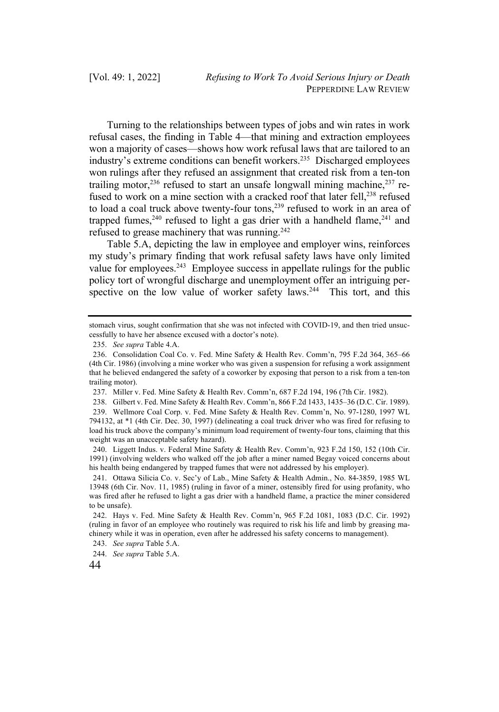Turning to the relationships between types of jobs and win rates in work refusal cases, the finding in Table 4—that mining and extraction employees won a majority of cases—shows how work refusal laws that are tailored to an industry's extreme conditions can benefit workers.<sup>235</sup> Discharged employees won rulings after they refused an assignment that created risk from a ten-ton trailing motor,<sup>236</sup> refused to start an unsafe longwall mining machine,<sup>237</sup> refused to work on a mine section with a cracked roof that later fell,<sup>238</sup> refused to load a coal truck above twenty-four tons,<sup>239</sup> refused to work in an area of trapped fumes,<sup>240</sup> refused to light a gas drier with a handheld flame,<sup>241</sup> and refused to grease machinery that was running.242

Table 5.A, depicting the law in employee and employer wins, reinforces my study's primary finding that work refusal safety laws have only limited value for employees.<sup>243</sup> Employee success in appellate rulings for the public policy tort of wrongful discharge and unemployment offer an intriguing perspective on the low value of worker safety laws.<sup>244</sup> This tort, and this

stomach virus, sought confirmation that she was not infected with COVID-19, and then tried unsuccessfully to have her absence excused with a doctor's note).

<sup>235.</sup> *See supra* Table 4.A.

<sup>236.</sup> Consolidation Coal Co. v. Fed. Mine Safety & Health Rev. Comm'n, 795 F.2d 364, 365–66 (4th Cir. 1986) (involving a mine worker who was given a suspension for refusing a work assignment that he believed endangered the safety of a coworker by exposing that person to a risk from a ten-ton trailing motor).

<sup>237.</sup> Miller v. Fed. Mine Safety & Health Rev. Comm'n, 687 F.2d 194, 196 (7th Cir. 1982).

<sup>238.</sup> Gilbert v. Fed. Mine Safety & Health Rev. Comm'n, 866 F.2d 1433, 1435–36 (D.C. Cir. 1989). 239. Wellmore Coal Corp. v. Fed. Mine Safety & Health Rev. Comm'n, No. 97-1280, 1997 WL 794132, at \*1 (4th Cir. Dec. 30, 1997) (delineating a coal truck driver who was fired for refusing to load his truck above the company's minimum load requirement of twenty-four tons, claiming that this weight was an unacceptable safety hazard).

<sup>240.</sup> Liggett Indus. v. Federal Mine Safety & Health Rev. Comm'n, 923 F.2d 150, 152 (10th Cir. 1991) (involving welders who walked off the job after a miner named Begay voiced concerns about his health being endangered by trapped fumes that were not addressed by his employer).

<sup>241.</sup> Ottawa Silicia Co. v. Sec'y of Lab., Mine Safety & Health Admin., No. 84-3859, 1985 WL 13948 (6th Cir. Nov. 11, 1985) (ruling in favor of a miner, ostensibly fired for using profanity, who was fired after he refused to light a gas drier with a handheld flame, a practice the miner considered to be unsafe).

<sup>242.</sup> Hays v. Fed. Mine Safety & Health Rev. Comm'n, 965 F.2d 1081, 1083 (D.C. Cir. 1992) (ruling in favor of an employee who routinely was required to risk his life and limb by greasing machinery while it was in operation, even after he addressed his safety concerns to management).

<sup>243.</sup> *See supra* Table 5.A.

<sup>244.</sup> *See supra* Table 5.A.

<sup>44</sup>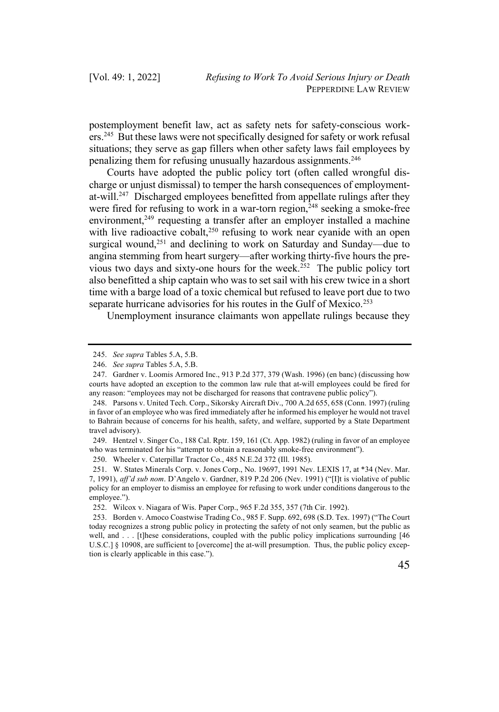postemployment benefit law, act as safety nets for safety-conscious workers.245 But these laws were not specifically designed for safety or work refusal situations; they serve as gap fillers when other safety laws fail employees by penalizing them for refusing unusually hazardous assignments.246

Courts have adopted the public policy tort (often called wrongful discharge or unjust dismissal) to temper the harsh consequences of employmentat-will.<sup>247</sup> Discharged employees benefitted from appellate rulings after they were fired for refusing to work in a war-torn region,  $248$  seeking a smoke-free environment,<sup>249</sup> requesting a transfer after an employer installed a machine with live radioactive cobalt,<sup>250</sup> refusing to work near cyanide with an open surgical wound,<sup>251</sup> and declining to work on Saturday and Sunday—due to angina stemming from heart surgery—after working thirty-five hours the previous two days and sixty-one hours for the week.<sup>252</sup> The public policy tort also benefitted a ship captain who was to set sail with his crew twice in a short time with a barge load of a toxic chemical but refused to leave port due to two separate hurricane advisories for his routes in the Gulf of Mexico.<sup>253</sup>

Unemployment insurance claimants won appellate rulings because they

<sup>245.</sup> *See supra* Tables 5.A, 5.B.

<sup>246.</sup> *See supra* Tables 5.A, 5.B.

<sup>247.</sup> Gardner v. Loomis Armored Inc., 913 P.2d 377, 379 (Wash. 1996) (en banc) (discussing how courts have adopted an exception to the common law rule that at-will employees could be fired for any reason: "employees may not be discharged for reasons that contravene public policy").

<sup>248.</sup> Parsons v. United Tech. Corp., Sikorsky Aircraft Div., 700 A.2d 655, 658 (Conn. 1997) (ruling in favor of an employee who was fired immediately after he informed his employer he would not travel to Bahrain because of concerns for his health, safety, and welfare, supported by a State Department travel advisory).

<sup>249.</sup> Hentzel v. Singer Co., 188 Cal. Rptr. 159, 161 (Ct. App. 1982) (ruling in favor of an employee who was terminated for his "attempt to obtain a reasonably smoke-free environment").

<sup>250.</sup> Wheeler v. Caterpillar Tractor Co., 485 N.E.2d 372 (Ill. 1985).

<sup>251.</sup> W. States Minerals Corp. v. Jones Corp., No. 19697, 1991 Nev. LEXIS 17, at \*34 (Nev. Mar. 7, 1991), *aff'd sub nom*. D'Angelo v. Gardner, 819 P.2d 206 (Nev. 1991) ("[I]t is violative of public policy for an employer to dismiss an employee for refusing to work under conditions dangerous to the employee.").

<sup>252.</sup> Wilcox v. Niagara of Wis. Paper Corp., 965 F.2d 355, 357 (7th Cir. 1992).

<sup>253.</sup> Borden v. Amoco Coastwise Trading Co., 985 F. Supp. 692, 698 (S.D. Tex. 1997) ("The Court today recognizes a strong public policy in protecting the safety of not only seamen, but the public as well, and . . . [t]hese considerations, coupled with the public policy implications surrounding [46] U.S.C.] § 10908, are sufficient to [overcome] the at-will presumption. Thus, the public policy exception is clearly applicable in this case.").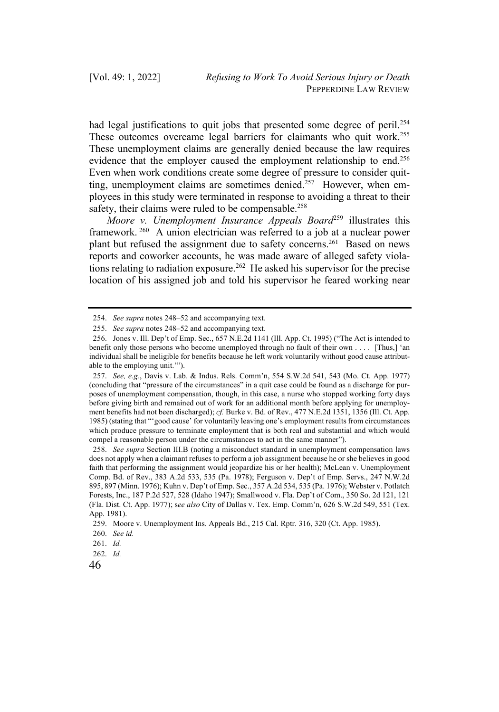had legal justifications to quit jobs that presented some degree of peril.<sup>254</sup> These outcomes overcame legal barriers for claimants who quit work.<sup>255</sup> These unemployment claims are generally denied because the law requires evidence that the employer caused the employment relationship to end.<sup>256</sup> Even when work conditions create some degree of pressure to consider quitting, unemployment claims are sometimes denied.<sup>257</sup> However, when employees in this study were terminated in response to avoiding a threat to their safety, their claims were ruled to be compensable.<sup>258</sup>

*Moore v. Unemployment Insurance Appeals Board*<sup>259</sup> illustrates this framework. <sup>260</sup> A union electrician was referred to a job at a nuclear power plant but refused the assignment due to safety concerns.<sup>261</sup> Based on news reports and coworker accounts, he was made aware of alleged safety violations relating to radiation exposure.<sup>262</sup> He asked his supervisor for the precise location of his assigned job and told his supervisor he feared working near

<sup>254.</sup> *See supra* notes 248–52 and accompanying text.

<sup>255.</sup> *See supra* notes 248–52 and accompanying text.

<sup>256.</sup> Jones v. Ill. Dep't of Emp. Sec., 657 N.E.2d 1141 (Ill. App. Ct. 1995) ("The Act is intended to benefit only those persons who become unemployed through no fault of their own . . . . [Thus,] 'an individual shall be ineligible for benefits because he left work voluntarily without good cause attributable to the employing unit.'").

<sup>257.</sup> *See, e.g.*, Davis v. Lab. & Indus. Rels. Comm'n, 554 S.W.2d 541, 543 (Mo. Ct. App. 1977) (concluding that "pressure of the circumstances" in a quit case could be found as a discharge for purposes of unemployment compensation, though, in this case, a nurse who stopped working forty days before giving birth and remained out of work for an additional month before applying for unemployment benefits had not been discharged); *cf.* Burke v. Bd. of Rev., 477 N.E.2d 1351, 1356 (Ill. Ct. App. 1985) (stating that "'good cause' for voluntarily leaving one's employment results from circumstances which produce pressure to terminate employment that is both real and substantial and which would compel a reasonable person under the circumstances to act in the same manner").

<sup>258.</sup> *See supra* Section III.B (noting a misconduct standard in unemployment compensation laws does not apply when a claimant refuses to perform a job assignment because he or she believes in good faith that performing the assignment would jeopardize his or her health); McLean v. Unemployment Comp. Bd. of Rev., 383 A.2d 533, 535 (Pa. 1978); Ferguson v. Dep't of Emp. Servs., 247 N.W.2d 895, 897 (Minn. 1976); Kuhn v. Dep't of Emp. Sec., 357 A.2d 534, 535 (Pa. 1976); Webster v. Potlatch Forests, Inc., 187 P.2d 527, 528 (Idaho 1947); Smallwood v. Fla. Dep't of Com., 350 So. 2d 121, 121 (Fla. Dist. Ct. App. 1977); s*ee also* City of Dallas v. Tex. Emp. Comm'n, 626 S.W.2d 549, 551 (Tex. App. 1981).

<sup>259.</sup> Moore v. Unemployment Ins. Appeals Bd., 215 Cal. Rptr. 316, 320 (Ct. App. 1985).

<sup>260.</sup> *See id.*

<sup>261.</sup> *Id.* 

<sup>262.</sup> *Id.*

<sup>46</sup>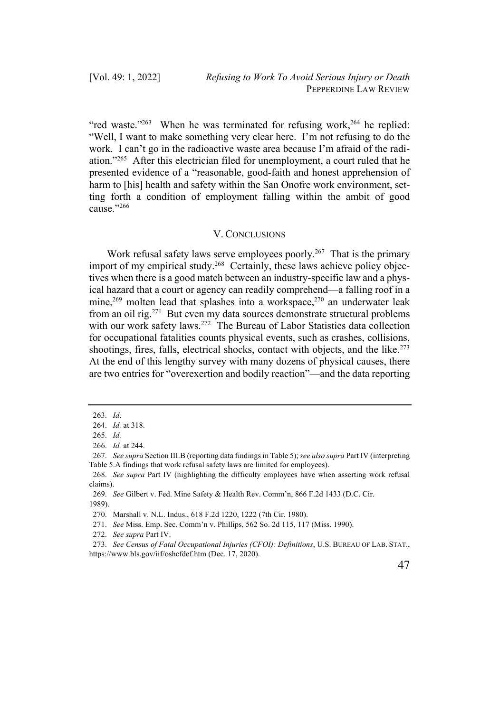"red waste."<sup>263</sup> When he was terminated for refusing work,<sup>264</sup> he replied: "Well, I want to make something very clear here. I'm not refusing to do the work. I can't go in the radioactive waste area because I'm afraid of the radiation."265 After this electrician filed for unemployment, a court ruled that he presented evidence of a "reasonable, good-faith and honest apprehension of harm to [his] health and safety within the San Onofre work environment, setting forth a condition of employment falling within the ambit of good cause."266

## V. CONCLUSIONS

Work refusal safety laws serve employees poorly.<sup>267</sup> That is the primary import of my empirical study.<sup>268</sup> Certainly, these laws achieve policy objectives when there is a good match between an industry-specific law and a physical hazard that a court or agency can readily comprehend—a falling roof in a mine,<sup>269</sup> molten lead that splashes into a workspace,<sup>270</sup> an underwater leak from an oil rig.271 But even my data sources demonstrate structural problems with our work safety laws.<sup>272</sup> The Bureau of Labor Statistics data collection for occupational fatalities counts physical events, such as crashes, collisions, shootings, fires, falls, electrical shocks, contact with objects, and the like. $273$ At the end of this lengthy survey with many dozens of physical causes, there are two entries for "overexertion and bodily reaction"—and the data reporting

<sup>263.</sup> *Id*.

<sup>264.</sup> *Id.* at 318.

<sup>265.</sup> *Id.*

<sup>266.</sup> *Id.* at 244.

<sup>267.</sup> *See supra* Section III.B (reporting data findings in Table 5); *see also supra* Part IV (interpreting Table 5.A findings that work refusal safety laws are limited for employees).

<sup>268.</sup> *See supra* Part IV (highlighting the difficulty employees have when asserting work refusal claims).

<sup>269.</sup> *See* Gilbert v. Fed. Mine Safety & Health Rev. Comm'n, 866 F.2d 1433 (D.C. Cir. 1989).

<sup>270.</sup> Marshall v. N.L. Indus., 618 F.2d 1220, 1222 (7th Cir. 1980).

<sup>271.</sup> *See* Miss. Emp. Sec. Comm'n v. Phillips, 562 So. 2d 115, 117 (Miss. 1990).

<sup>272.</sup> *See supra* Part IV.

<sup>273.</sup> *See Census of Fatal Occupational Injuries (CFOI): Definitions*, U.S. BUREAU OF LAB. STAT., https://www.bls.gov/iif/oshcfdef.htm (Dec. 17, 2020).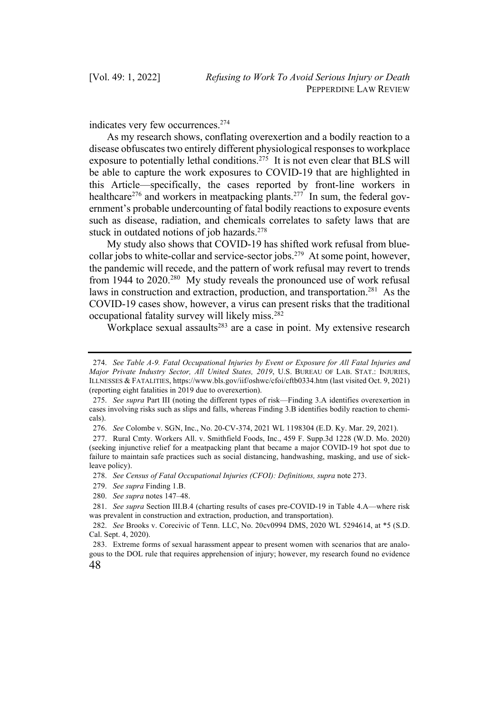indicates very few occurrences.274

As my research shows, conflating overexertion and a bodily reaction to a disease obfuscates two entirely different physiological responses to workplace exposure to potentially lethal conditions.<sup>275</sup> It is not even clear that BLS will be able to capture the work exposures to COVID-19 that are highlighted in this Article—specifically, the cases reported by front-line workers in healthcare<sup>276</sup> and workers in meatpacking plants.<sup>277</sup> In sum, the federal government's probable undercounting of fatal bodily reactions to exposure events such as disease, radiation, and chemicals correlates to safety laws that are stuck in outdated notions of job hazards.<sup>278</sup>

My study also shows that COVID-19 has shifted work refusal from bluecollar jobs to white-collar and service-sector jobs.279 At some point, however, the pandemic will recede, and the pattern of work refusal may revert to trends from 1944 to 2020.<sup>280</sup> My study reveals the pronounced use of work refusal laws in construction and extraction, production, and transportation.<sup>281</sup> As the COVID-19 cases show, however, a virus can present risks that the traditional occupational fatality survey will likely miss.282

Workplace sexual assaults $283$  are a case in point. My extensive research

277. Rural Cmty. Workers All. v. Smithfield Foods, Inc., 459 F. Supp.3d 1228 (W.D. Mo. 2020) (seeking injunctive relief for a meatpacking plant that became a major COVID-19 hot spot due to failure to maintain safe practices such as social distancing, handwashing, masking, and use of sickleave policy).

278. *See Census of Fatal Occupational Injuries (CFOI): Definitions, supra* note 273.

<sup>274.</sup> *See Table A-9. Fatal Occupational Injuries by Event or Exposure for All Fatal Injuries and Major Private Industry Sector, All United States, 2019*, U.S. BUREAU OF LAB. STAT.: INJURIES, ILLNESSES & FATALITIES, https://www.bls.gov/iif/oshwc/cfoi/cftb0334.htm (last visited Oct. 9, 2021) (reporting eight fatalities in 2019 due to overexertion).

<sup>275.</sup> *See supra* Part III (noting the different types of risk—Finding 3.A identifies overexertion in cases involving risks such as slips and falls, whereas Finding 3.B identifies bodily reaction to chemicals).

<sup>276.</sup> *See* Colombe v. SGN, Inc., No. 20-CV-374, 2021 WL 1198304 (E.D. Ky. Mar. 29, 2021).

<sup>279.</sup> *See supra* Finding 1.B.

<sup>280.</sup> *See supra* notes 147–48.

<sup>281.</sup> *See supra* Section III.B.4 (charting results of cases pre-COVID-19 in Table 4.A—where risk was prevalent in construction and extraction, production, and transportation).

<sup>282.</sup> *See* Brooks v. Corecivic of Tenn. LLC, No. 20cv0994 DMS, 2020 WL 5294614, at \*5 (S.D. Cal. Sept. 4, 2020).

<sup>48</sup> 283. Extreme forms of sexual harassment appear to present women with scenarios that are analogous to the DOL rule that requires apprehension of injury; however, my research found no evidence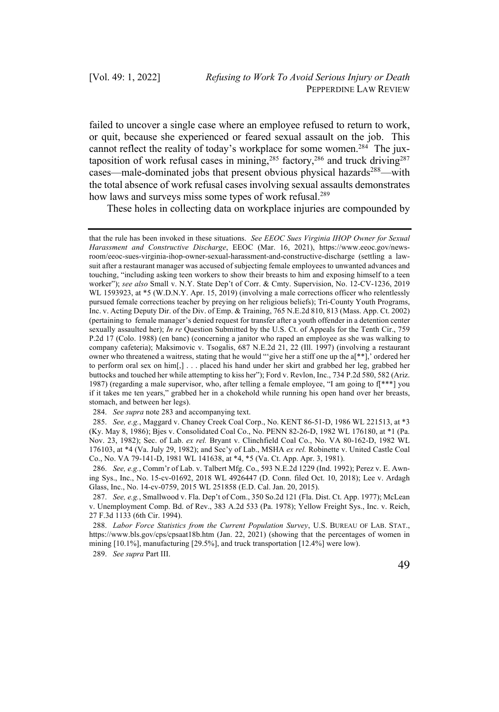failed to uncover a single case where an employee refused to return to work, or quit, because she experienced or feared sexual assault on the job. This cannot reflect the reality of today's workplace for some women.<sup>284</sup> The juxtaposition of work refusal cases in mining,<sup>285</sup> factory,<sup>286</sup> and truck driving<sup>287</sup> cases—male-dominated jobs that present obvious physical hazards<sup>288</sup>—with the total absence of work refusal cases involving sexual assaults demonstrates how laws and surveys miss some types of work refusal.<sup>289</sup>

These holes in collecting data on workplace injuries are compounded by

284. *See supra* note 283 and accompanying text.

285. *See, e.g.*, Maggard v. Chaney Creek Coal Corp., No. KENT 86-51-D, 1986 WL 221513, at \*3 (Ky. May 8, 1986); Bjes v. Consolidated Coal Co., No. PENN 82-26-D, 1982 WL 176180, at \*1 (Pa. Nov. 23, 1982); Sec. of Lab. *ex rel.* Bryant v. Clinchfield Coal Co., No. VA 80-162-D, 1982 WL 176103, at \*4 (Va. July 29, 1982); and Sec'y of Lab., MSHA *ex rel.* Robinette v. United Castle Coal Co., No. VA 79-141-D, 1981 WL 141638, at \*4, \*5 (Va. Ct. App. Apr. 3, 1981).

286. *See, e.g.*, Comm'r of Lab. v. Talbert Mfg. Co., 593 N.E.2d 1229 (Ind. 1992); Perez v. E. Awning Sys., Inc., No. 15-cv-01692, 2018 WL 4926447 (D. Conn. filed Oct. 10, 2018); Lee v. Ardagh Glass, Inc., No. 14-cv-0759, 2015 WL 251858 (E.D. Cal. Jan. 20, 2015).

287. *See, e.g.*, Smallwood v. Fla. Dep't of Com., 350 So.2d 121 (Fla. Dist. Ct. App. 1977); McLean v. Unemployment Comp. Bd. of Rev., 383 A.2d 533 (Pa. 1978); Yellow Freight Sys., Inc. v. Reich, 27 F.3d 1133 (6th Cir. 1994).

288. *Labor Force Statistics from the Current Population Survey*, U.S. BUREAU OF LAB. STAT., https://www.bls.gov/cps/cpsaat18b.htm (Jan. 22, 2021) (showing that the percentages of women in mining [10.1%], manufacturing [29.5%], and truck transportation [12.4%] were low).

289. *See supra* Part III.

that the rule has been invoked in these situations. *See EEOC Sues Virginia IHOP Owner for Sexual Harassment and Constructive Discharge*, EEOC (Mar. 16, 2021), https://www.eeoc.gov/newsroom/eeoc-sues-virginia-ihop-owner-sexual-harassment-and-constructive-discharge (settling a lawsuit after a restaurant manager was accused of subjecting female employees to unwanted advances and touching, "including asking teen workers to show their breasts to him and exposing himself to a teen worker"); *see also* Small v. N.Y. State Dep't of Corr. & Cmty. Supervision, No. 12-CV-1236, 2019 WL 1593923, at  $*5$  (W.D.N.Y. Apr. 15, 2019) (involving a male corrections officer who relentlessly pursued female corrections teacher by preying on her religious beliefs); Tri-County Youth Programs, Inc. v. Acting Deputy Dir. of the Div. of Emp. & Training, 765 N.E.2d 810, 813 (Mass. App. Ct. 2002) (pertaining to female manager's denied request for transfer after a youth offender in a detention center sexually assaulted her); *In re* Question Submitted by the U.S. Ct. of Appeals for the Tenth Cir., 759 P.2d 17 (Colo. 1988) (en banc) (concerning a janitor who raped an employee as she was walking to company cafeteria); Maksimovic v. Tsogalis, 687 N.E.2d 21, 22 (Ill. 1997) (involving a restaurant owner who threatened a waitress, stating that he would "'give her a stiff one up the a[\*\*],' ordered her to perform oral sex on him[,] . . . placed his hand under her skirt and grabbed her leg, grabbed her buttocks and touched her while attempting to kiss her"); Ford v. Revlon, Inc., 734 P.2d 580, 582 (Ariz. 1987) (regarding a male supervisor, who, after telling a female employee, "I am going to  $f$ [\*\*\*] you if it takes me ten years," grabbed her in a chokehold while running his open hand over her breasts, stomach, and between her legs).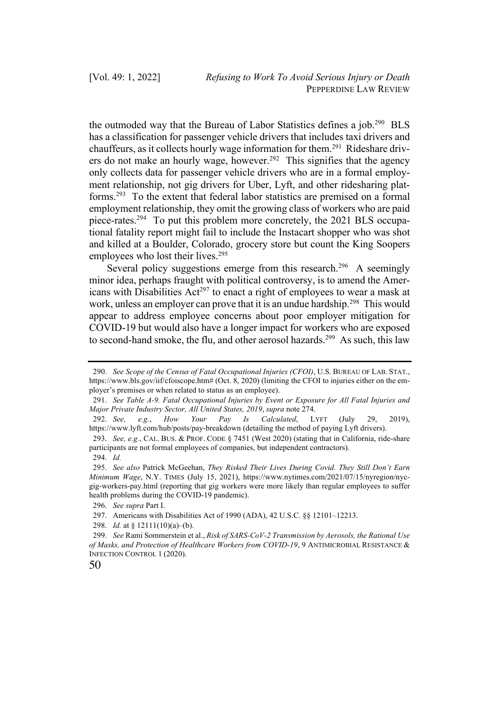the outmoded way that the Bureau of Labor Statistics defines a job.290 BLS has a classification for passenger vehicle drivers that includes taxi drivers and chauffeurs, as it collects hourly wage information for them.<sup>291</sup> Rideshare drivers do not make an hourly wage, however.<sup>292</sup> This signifies that the agency only collects data for passenger vehicle drivers who are in a formal employment relationship, not gig drivers for Uber, Lyft, and other ridesharing platforms.293 To the extent that federal labor statistics are premised on a formal employment relationship, they omit the growing class of workers who are paid piece-rates.294 To put this problem more concretely, the 2021 BLS occupational fatality report might fail to include the Instacart shopper who was shot and killed at a Boulder, Colorado, grocery store but count the King Soopers employees who lost their lives.<sup>295</sup>

Several policy suggestions emerge from this research.<sup>296</sup> A seemingly minor idea, perhaps fraught with political controversy, is to amend the Americans with Disabilities  $Act^{297}$  to enact a right of employees to wear a mask at work, unless an employer can prove that it is an undue hardship.<sup>298</sup> This would appear to address employee concerns about poor employer mitigation for COVID-19 but would also have a longer impact for workers who are exposed to second-hand smoke, the flu, and other aerosol hazards.<sup>299</sup> As such, this law

298. *Id.* at § 12111(10)(a)–(b).

<sup>299.</sup> *See* Rami Sommerstein et al., *Risk of SARS-CoV-2 Transmission by Aerosols, the Rational Use of Masks, and Protection of Healthcare Workers from COVID-19*, 9 ANTIMICROBIAL RESISTANCE & INFECTION CONTROL 1 (2020).



<sup>290.</sup> *See Scope of the Census of Fatal Occupational Injuries (CFOI)*, U.S. BUREAU OF LAB. STAT., https://www.bls.gov/iif/cfoiscope.htm# (Oct. 8, 2020) (limiting the CFOI to injuries either on the employer's premises or when related to status as an employee).

<sup>291.</sup> *See Table A-9. Fatal Occupational Injuries by Event or Exposure for All Fatal Injuries and Major Private Industry Sector, All United States, 2019*, *supra* note 274.

<sup>292.</sup> *See, e.g.*, *How Your Pay Is Calculated*, LYFT (July 29, 2019), https://www.lyft.com/hub/posts/pay-breakdown (detailing the method of paying Lyft drivers).

<sup>293.</sup> *See, e.g.*, CAL. BUS. & PROF. CODE § 7451 (West 2020) (stating that in California, ride-share participants are not formal employees of companies, but independent contractors).

<sup>294.</sup> *Id.*

<sup>295.</sup> *See also* Patrick McGeehan, *They Risked Their Lives During Covid. They Still Don't Earn Minimum Wage*, N.Y. TIMES (July 15, 2021), https://www.nytimes.com/2021/07/15/nyregion/nycgig-workers-pay.html (reporting that gig workers were more likely than regular employees to suffer health problems during the COVID-19 pandemic).

<sup>296.</sup> *See supra* Part I.

<sup>297.</sup> Americans with Disabilities Act of 1990 (ADA), 42 U.S.C. §§ 12101–12213.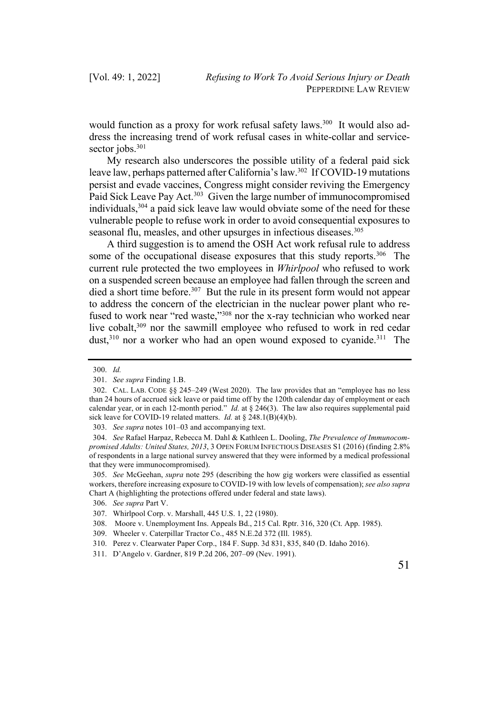would function as a proxy for work refusal safety laws.<sup>300</sup> It would also address the increasing trend of work refusal cases in white-collar and servicesector jobs.<sup>301</sup>

My research also underscores the possible utility of a federal paid sick leave law, perhaps patterned after California's law.<sup>302</sup> If COVID-19 mutations persist and evade vaccines, Congress might consider reviving the Emergency Paid Sick Leave Pay Act.<sup>303</sup> Given the large number of immunocompromised individuals,304 a paid sick leave law would obviate some of the need for these vulnerable people to refuse work in order to avoid consequential exposures to seasonal flu, measles, and other upsurges in infectious diseases.<sup>305</sup>

A third suggestion is to amend the OSH Act work refusal rule to address some of the occupational disease exposures that this study reports.<sup>306</sup> The current rule protected the two employees in *Whirlpool* who refused to work on a suspended screen because an employee had fallen through the screen and died a short time before.<sup>307</sup> But the rule in its present form would not appear to address the concern of the electrician in the nuclear power plant who refused to work near "red waste,"308 nor the x-ray technician who worked near live cobalt,<sup>309</sup> nor the sawmill employee who refused to work in red cedar dust, $3^{10}$  nor a worker who had an open wound exposed to cyanide. $3^{11}$  The

303. *See supra* notes 101–03 and accompanying text.

<sup>300.</sup> *Id.*

<sup>301.</sup> *See supra* Finding 1.B.

<sup>302.</sup> CAL. LAB. CODE §§ 245–249 (West 2020). The law provides that an "employee has no less than 24 hours of accrued sick leave or paid time off by the 120th calendar day of employment or each calendar year, or in each 12-month period." *Id.* at § 246(3). The law also requires supplemental paid sick leave for COVID-19 related matters. *Id.* at § 248.1(B)(4)(b).

<sup>304.</sup> *See* Rafael Harpaz, Rebecca M. Dahl & Kathleen L. Dooling, *The Prevalence of Immunocompromised Adults: United States, 2013*, 3 OPEN FORUM INFECTIOUS DISEASES S1 (2016) (finding 2.8% of respondents in a large national survey answered that they were informed by a medical professional that they were immunocompromised).

<sup>305.</sup> *See* McGeehan, *supra* note 295 (describing the how gig workers were classified as essential workers, therefore increasing exposure to COVID-19 with low levels of compensation); *see also supra*  Chart A (highlighting the protections offered under federal and state laws).

<sup>306.</sup> *See supra* Part V.

<sup>307.</sup> Whirlpool Corp. v. Marshall, 445 U.S. 1, 22 (1980).

<sup>308.</sup> Moore v. Unemployment Ins. Appeals Bd., 215 Cal. Rptr. 316, 320 (Ct. App. 1985).

<sup>309.</sup> Wheeler v. Caterpillar Tractor Co., 485 N.E.2d 372 (Ill. 1985).

<sup>310.</sup> Perez v. Clearwater Paper Corp., 184 F. Supp. 3d 831, 835, 840 (D. Idaho 2016).

<sup>311.</sup> D'Angelo v. Gardner, 819 P.2d 206, 207–09 (Nev. 1991).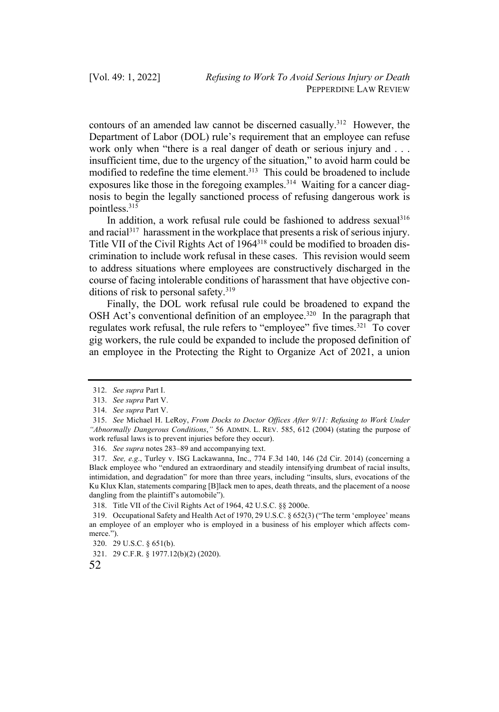contours of an amended law cannot be discerned casually.312 However, the Department of Labor (DOL) rule's requirement that an employee can refuse work only when "there is a real danger of death or serious injury and . . . insufficient time, due to the urgency of the situation," to avoid harm could be modified to redefine the time element.<sup>313</sup> This could be broadened to include exposures like those in the foregoing examples.<sup>314</sup> Waiting for a cancer diagnosis to begin the legally sanctioned process of refusing dangerous work is pointless.315

In addition, a work refusal rule could be fashioned to address sexual $316$ and racial<sup>317</sup> harassment in the workplace that presents a risk of serious injury. Title VII of the Civil Rights Act of 1964318 could be modified to broaden discrimination to include work refusal in these cases. This revision would seem to address situations where employees are constructively discharged in the course of facing intolerable conditions of harassment that have objective conditions of risk to personal safety. $319$ 

Finally, the DOL work refusal rule could be broadened to expand the OSH Act's conventional definition of an employee.<sup>320</sup> In the paragraph that regulates work refusal, the rule refers to "employee" five times.321 To cover gig workers, the rule could be expanded to include the proposed definition of an employee in the Protecting the Right to Organize Act of 2021, a union

<sup>312.</sup> *See supra* Part I.

<sup>313.</sup> *See supra* Part V.

<sup>314.</sup> *See supra* Part V.

<sup>315.</sup> *See* Michael H. LeRoy, *From Docks to Doctor Offices After 9/11: Refusing to Work Under "Abnormally Dangerous Conditions*,*"* 56 ADMIN. L. REV. 585, 612 (2004) (stating the purpose of work refusal laws is to prevent injuries before they occur).

<sup>316.</sup> *See supra* notes 283–89 and accompanying text.

<sup>317.</sup> *See, e.g*., Turley v. ISG Lackawanna, Inc., 774 F.3d 140, 146 (2d Cir. 2014) (concerning a Black employee who "endured an extraordinary and steadily intensifying drumbeat of racial insults, intimidation, and degradation" for more than three years, including "insults, slurs, evocations of the Ku Klux Klan, statements comparing [B]lack men to apes, death threats, and the placement of a noose dangling from the plaintiff's automobile").

<sup>318.</sup> Title VII of the Civil Rights Act of 1964, 42 U.S.C. §§ 2000e.

<sup>319.</sup> Occupational Safety and Health Act of 1970, 29 U.S.C. § 652(3) ("The term 'employee' means an employee of an employer who is employed in a business of his employer which affects commerce.").

<sup>320.</sup> 29 U.S.C. § 651(b).

<sup>321.</sup> 29 C.F.R. § 1977.12(b)(2) (2020).

<sup>52</sup>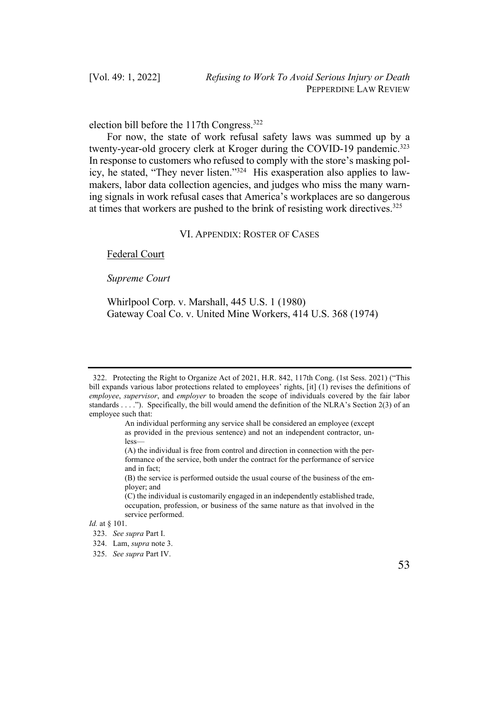election bill before the 117th Congress.322

For now, the state of work refusal safety laws was summed up by a twenty-year-old grocery clerk at Kroger during the COVID-19 pandemic.<sup>323</sup> In response to customers who refused to comply with the store's masking policy, he stated, "They never listen."324 His exasperation also applies to lawmakers, labor data collection agencies, and judges who miss the many warning signals in work refusal cases that America's workplaces are so dangerous at times that workers are pushed to the brink of resisting work directives.<sup>325</sup>

## VI. APPENDIX: ROSTER OF CASES

#### Federal Court

#### *Supreme Court*

Whirlpool Corp. v. Marshall, 445 U.S. 1 (1980) Gateway Coal Co. v. United Mine Workers, 414 U.S. 368 (1974)



<sup>322.</sup> Protecting the Right to Organize Act of 2021, H.R. 842, 117th Cong. (1st Sess. 2021) ("This bill expands various labor protections related to employees' rights, [it] (1) revises the definitions of *employee*, *supervisor*, and *employer* to broaden the scope of individuals covered by the fair labor standards . . . ."). Specifically, the bill would amend the definition of the NLRA's Section 2(3) of an employee such that:

An individual performing any service shall be considered an employee (except as provided in the previous sentence) and not an independent contractor, unless—

<sup>(</sup>A) the individual is free from control and direction in connection with the performance of the service, both under the contract for the performance of service and in fact;

<sup>(</sup>B) the service is performed outside the usual course of the business of the employer; and

<sup>(</sup>C) the individual is customarily engaged in an independently established trade, occupation, profession, or business of the same nature as that involved in the service performed.

*Id.* at § 101.

<sup>323.</sup> *See supra* Part I.

<sup>324.</sup> Lam, *supra* note 3.

<sup>325.</sup> *See supra* Part IV.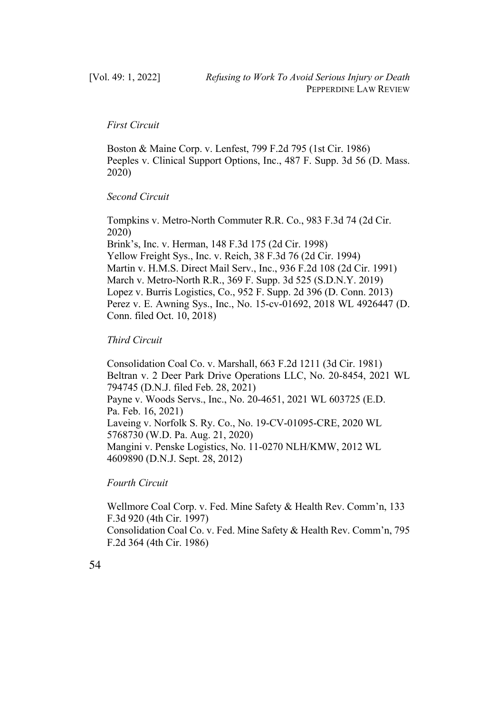# *First Circuit*

Boston & Maine Corp. v. Lenfest, 799 F.2d 795 (1st Cir. 1986) Peeples v. Clinical Support Options, Inc., 487 F. Supp. 3d 56 (D. Mass. 2020)

#### *Second Circuit*

Tompkins v. Metro-North Commuter R.R. Co., 983 F.3d 74 (2d Cir. 2020) Brink's, Inc. v. Herman, 148 F.3d 175 (2d Cir. 1998) Yellow Freight Sys., Inc. v. Reich, 38 F.3d 76 (2d Cir. 1994) Martin v. H.M.S. Direct Mail Serv., Inc., 936 F.2d 108 (2d Cir. 1991) March v. Metro-North R.R., 369 F. Supp. 3d 525 (S.D.N.Y. 2019) Lopez v. Burris Logistics, Co., 952 F. Supp. 2d 396 (D. Conn. 2013) Perez v. E. Awning Sys., Inc., No. 15-cv-01692, 2018 WL 4926447 (D. Conn. filed Oct. 10, 2018)

# *Third Circuit*

Consolidation Coal Co. v. Marshall, 663 F.2d 1211 (3d Cir. 1981) Beltran v. 2 Deer Park Drive Operations LLC, No. 20-8454, 2021 WL 794745 (D.N.J. filed Feb. 28, 2021) Payne v. Woods Servs., Inc., No. 20-4651, 2021 WL 603725 (E.D. Pa. Feb. 16, 2021) Laveing v. Norfolk S. Ry. Co., No. 19-CV-01095-CRE, 2020 WL 5768730 (W.D. Pa. Aug. 21, 2020) Mangini v. Penske Logistics, No. 11-0270 NLH/KMW, 2012 WL 4609890 (D.N.J. Sept. 28, 2012)

*Fourth Circuit*

Wellmore Coal Corp. v. Fed. Mine Safety & Health Rev. Comm'n, 133 F.3d 920 (4th Cir. 1997) Consolidation Coal Co. v. Fed. Mine Safety & Health Rev. Comm'n, 795 F.2d 364 (4th Cir. 1986)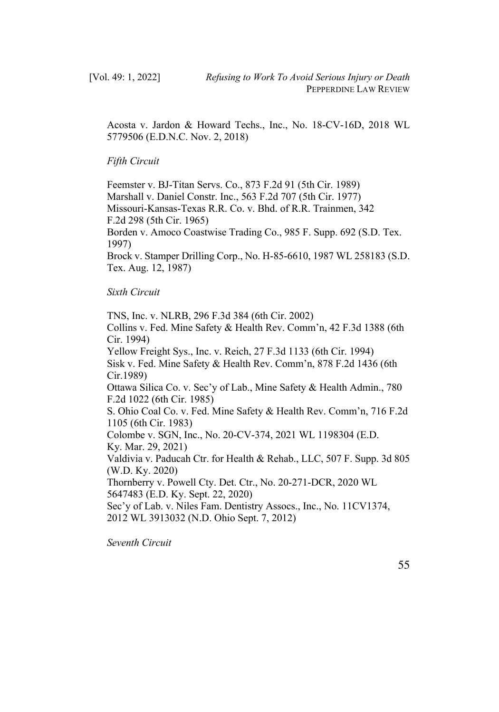Acosta v. Jardon & Howard Techs., Inc., No. 18-CV-16D, 2018 WL 5779506 (E.D.N.C. Nov. 2, 2018)

## *Fifth Circuit*

Feemster v. BJ-Titan Servs. Co., 873 F.2d 91 (5th Cir. 1989) Marshall v. Daniel Constr. Inc., 563 F.2d 707 (5th Cir. 1977) Missouri-Kansas-Texas R.R. Co. v. Bhd. of R.R. Trainmen, 342 F.2d 298 (5th Cir. 1965) Borden v. Amoco Coastwise Trading Co., 985 F. Supp. 692 (S.D. Tex. 1997) Brock v. Stamper Drilling Corp., No. H-85-6610, 1987 WL 258183 (S.D. Tex. Aug. 12, 1987)

# *Sixth Circuit*

TNS, Inc. v. NLRB, 296 F.3d 384 (6th Cir. 2002) Collins v. Fed. Mine Safety & Health Rev. Comm'n, 42 F.3d 1388 (6th Cir. 1994) Yellow Freight Sys., Inc. v. Reich, 27 F.3d 1133 (6th Cir. 1994) Sisk v. Fed. Mine Safety & Health Rev. Comm'n, 878 F.2d 1436 (6th Cir.1989) Ottawa Silica Co. v. Sec'y of Lab., Mine Safety & Health Admin., 780 F.2d 1022 (6th Cir. 1985) S. Ohio Coal Co. v. Fed. Mine Safety & Health Rev. Comm'n, 716 F.2d 1105 (6th Cir. 1983) Colombe v. SGN, Inc., No. 20-CV-374, 2021 WL 1198304 (E.D. Ky. Mar. 29, 2021) Valdivia v. Paducah Ctr. for Health & Rehab., LLC, 507 F. Supp. 3d 805 (W.D. Ky. 2020) Thornberry v. Powell Cty. Det. Ctr., No. 20-271-DCR, 2020 WL 5647483 (E.D. Ky. Sept. 22, 2020) Sec'y of Lab. v. Niles Fam. Dentistry Assocs., Inc., No. 11CV1374, 2012 WL 3913032 (N.D. Ohio Sept. 7, 2012)

*Seventh Circuit*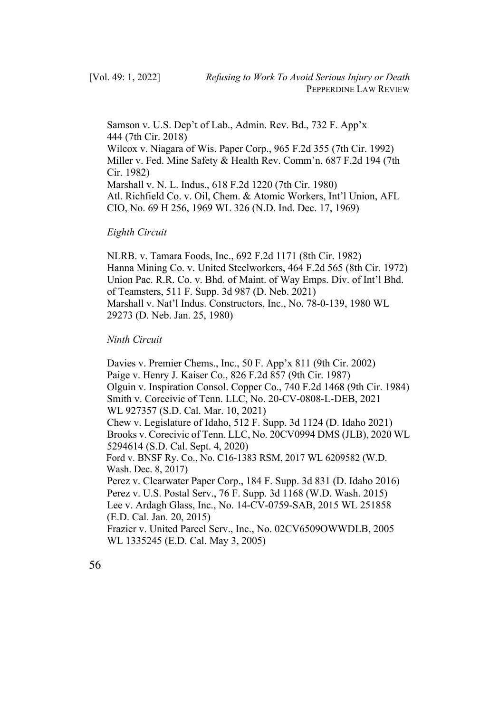Samson v. U.S. Dep't of Lab., Admin. Rev. Bd., 732 F. App'x 444 (7th Cir. 2018) Wilcox v. Niagara of Wis. Paper Corp., 965 F.2d 355 (7th Cir. 1992) Miller v. Fed. Mine Safety & Health Rev. Comm'n, 687 F.2d 194 (7th Cir. 1982) Marshall v. N. L. Indus., 618 F.2d 1220 (7th Cir. 1980) Atl. Richfield Co. v. Oil, Chem. & Atomic Workers, Int'l Union, AFL CIO, No. 69 H 256, 1969 WL 326 (N.D. Ind. Dec. 17, 1969)

#### *Eighth Circuit*

NLRB. v. Tamara Foods, Inc., 692 F.2d 1171 (8th Cir. 1982) Hanna Mining Co. v. United Steelworkers, 464 F.2d 565 (8th Cir. 1972) Union Pac. R.R. Co. v. Bhd. of Maint. of Way Emps. Div. of Int'l Bhd. of Teamsters, 511 F. Supp. 3d 987 (D. Neb. 2021) Marshall v. Nat'l Indus. Constructors, Inc., No. 78-0-139, 1980 WL 29273 (D. Neb. Jan. 25, 1980)

# *Ninth Circuit*

Davies v. Premier Chems., Inc., 50 F. App'x 811 (9th Cir. 2002) Paige v. Henry J. Kaiser Co., 826 F.2d 857 (9th Cir. 1987) Olguin v. Inspiration Consol. Copper Co., 740 F.2d 1468 (9th Cir. 1984) Smith v. Corecivic of Tenn. LLC, No. 20-CV-0808-L-DEB, 2021 WL 927357 (S.D. Cal. Mar. 10, 2021) Chew v. Legislature of Idaho, 512 F. Supp. 3d 1124 (D. Idaho 2021) Brooks v. Corecivic of Tenn. LLC, No. 20CV0994 DMS (JLB), 2020 WL 5294614 (S.D. Cal. Sept. 4, 2020) Ford v. BNSF Ry. Co., No. C16-1383 RSM, 2017 WL 6209582 (W.D. Wash. Dec. 8, 2017) Perez v. Clearwater Paper Corp., 184 F. Supp. 3d 831 (D. Idaho 2016) Perez v. U.S. Postal Serv., 76 F. Supp. 3d 1168 (W.D. Wash. 2015) Lee v. Ardagh Glass, Inc., No. 14-CV-0759-SAB, 2015 WL 251858 (E.D. Cal. Jan. 20, 2015) Frazier v. United Parcel Serv., Inc., No. 02CV6509OWWDLB, 2005 WL 1335245 (E.D. Cal. May 3, 2005)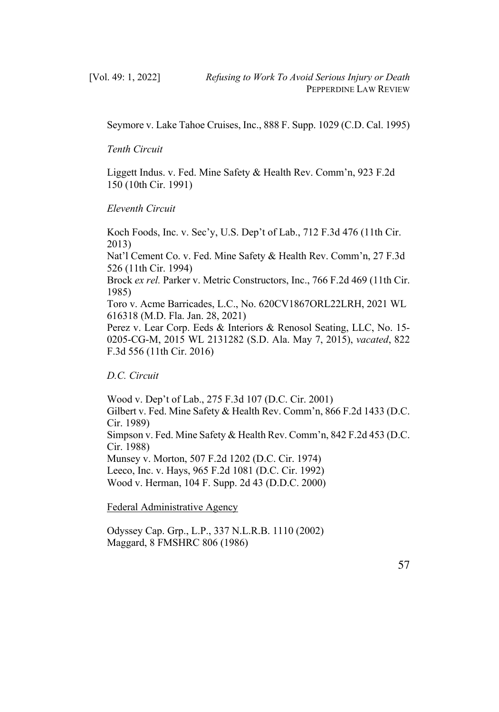Seymore v. Lake Tahoe Cruises, Inc., 888 F. Supp. 1029 (C.D. Cal. 1995)

*Tenth Circuit*

Liggett Indus. v. Fed. Mine Safety & Health Rev. Comm'n, 923 F.2d 150 (10th Cir. 1991)

*Eleventh Circuit*

Koch Foods, Inc. v. Sec'y, U.S. Dep't of Lab., 712 F.3d 476 (11th Cir. 2013) Nat'l Cement Co. v. Fed. Mine Safety & Health Rev. Comm'n, 27 F.3d 526 (11th Cir. 1994) Brock *ex rel.* Parker v. Metric Constructors, Inc., 766 F.2d 469 (11th Cir. 1985) Toro v. Acme Barricades, L.C., No. 620CV1867ORL22LRH, 2021 WL 616318 (M.D. Fla. Jan. 28, 2021) Perez v. Lear Corp. Eeds & Interiors & Renosol Seating, LLC, No. 15- 0205-CG-M, 2015 WL 2131282 (S.D. Ala. May 7, 2015), *vacated*, 822 F.3d 556 (11th Cir. 2016)

*D.C. Circuit*

Wood v. Dep't of Lab., 275 F.3d 107 (D.C. Cir. 2001) Gilbert v. Fed. Mine Safety & Health Rev. Comm'n, 866 F.2d 1433 (D.C. Cir. 1989) Simpson v. Fed. Mine Safety & Health Rev. Comm'n, 842 F.2d 453 (D.C. Cir. 1988) Munsey v. Morton, 507 F.2d 1202 (D.C. Cir. 1974) Leeco, Inc. v. Hays, 965 F.2d 1081 (D.C. Cir. 1992) Wood v. Herman, 104 F. Supp. 2d 43 (D.D.C. 2000)

Federal Administrative Agency

Odyssey Cap. Grp., L.P., 337 N.L.R.B. 1110 (2002) Maggard, 8 FMSHRC 806 (1986)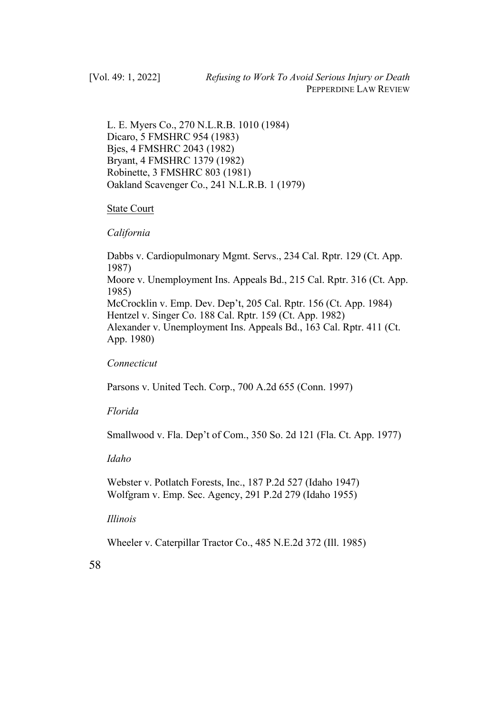L. E. Myers Co., 270 N.L.R.B. 1010 (1984) Dicaro, 5 FMSHRC 954 (1983) Bjes, 4 FMSHRC 2043 (1982) Bryant, 4 FMSHRC 1379 (1982) Robinette, 3 FMSHRC 803 (1981) Oakland Scavenger Co., 241 N.L.R.B. 1 (1979)

## State Court

## *California*

Dabbs v. Cardiopulmonary Mgmt. Servs., 234 Cal. Rptr. 129 (Ct. App. 1987) Moore v. Unemployment Ins. Appeals Bd., 215 Cal. Rptr. 316 (Ct. App. 1985) McCrocklin v. Emp. Dev. Dep't, 205 Cal. Rptr. 156 (Ct. App. 1984) Hentzel v. Singer Co. 188 Cal. Rptr. 159 (Ct. App. 1982) Alexander v. Unemployment Ins. Appeals Bd., 163 Cal. Rptr. 411 (Ct. App. 1980)

# *Connecticut*

Parsons v. United Tech. Corp., 700 A.2d 655 (Conn. 1997)

# *Florida*

Smallwood v. Fla. Dep't of Com., 350 So. 2d 121 (Fla. Ct. App. 1977)

#### *Idaho*

Webster v. Potlatch Forests, Inc., 187 P.2d 527 (Idaho 1947) Wolfgram v. Emp. Sec. Agency, 291 P.2d 279 (Idaho 1955)

# *Illinois*

Wheeler v. Caterpillar Tractor Co., 485 N.E.2d 372 (Ill. 1985)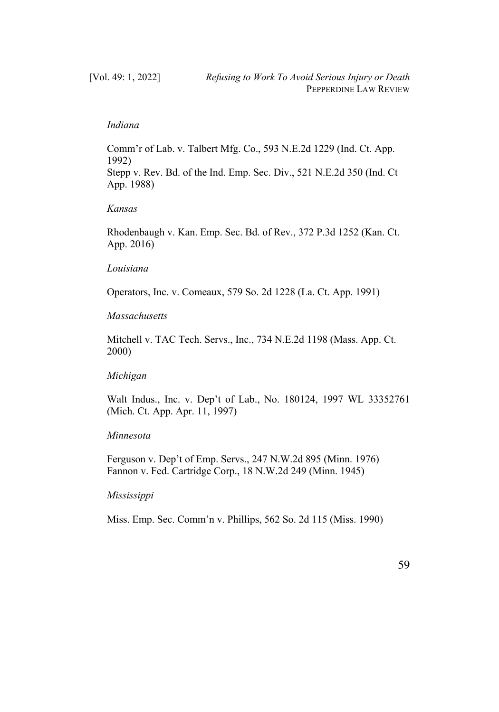## *Indiana*

Comm'r of Lab. v. Talbert Mfg. Co., 593 N.E.2d 1229 (Ind. Ct. App. 1992) Stepp v. Rev. Bd. of the Ind. Emp. Sec. Div., 521 N.E.2d 350 (Ind. Ct App. 1988)

## *Kansas*

Rhodenbaugh v. Kan. Emp. Sec. Bd. of Rev., 372 P.3d 1252 (Kan. Ct. App. 2016)

#### *Louisiana*

Operators, Inc. v. Comeaux, 579 So. 2d 1228 (La. Ct. App. 1991)

# *Massachusetts*

Mitchell v. TAC Tech. Servs., Inc., 734 N.E.2d 1198 (Mass. App. Ct. 2000)

# *Michigan*

Walt Indus., Inc. v. Dep't of Lab., No. 180124, 1997 WL 33352761 (Mich. Ct. App. Apr. 11, 1997)

# *Minnesota*

Ferguson v. Dep't of Emp. Servs., 247 N.W.2d 895 (Minn. 1976) Fannon v. Fed. Cartridge Corp., 18 N.W.2d 249 (Minn. 1945)

#### *Mississippi*

Miss. Emp. Sec. Comm'n v. Phillips, 562 So. 2d 115 (Miss. 1990)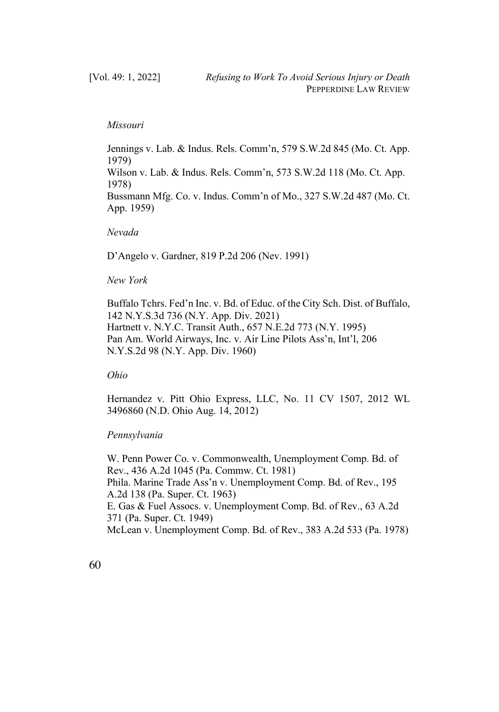#### *Missouri*

Jennings v. Lab. & Indus. Rels. Comm'n, 579 S.W.2d 845 (Mo. Ct. App. 1979) Wilson v. Lab. & Indus. Rels. Comm'n, 573 S.W.2d 118 (Mo. Ct. App. 1978) Bussmann Mfg. Co. v. Indus. Comm'n of Mo., 327 S.W.2d 487 (Mo. Ct. App. 1959)

#### *Nevada*

D'Angelo v. Gardner, 819 P.2d 206 (Nev. 1991)

#### *New York*

Buffalo Tchrs. Fed'n Inc. v. Bd. of Educ. of the City Sch. Dist. of Buffalo, 142 N.Y.S.3d 736 (N.Y. App. Div. 2021) Hartnett v. N.Y.C. Transit Auth., 657 N.E.2d 773 (N.Y. 1995) Pan Am. World Airways, Inc. v. Air Line Pilots Ass'n, Int'l, 206 N.Y.S.2d 98 (N.Y. App. Div. 1960)

*Ohio*

Hernandez v. Pitt Ohio Express, LLC, No. 11 CV 1507, 2012 WL 3496860 (N.D. Ohio Aug. 14, 2012)

# *Pennsylvania*

W. Penn Power Co. v. Commonwealth, Unemployment Comp. Bd. of Rev., 436 A.2d 1045 (Pa. Commw. Ct. 1981) Phila. Marine Trade Ass'n v. Unemployment Comp. Bd. of Rev., 195 A.2d 138 (Pa. Super. Ct. 1963) E. Gas & Fuel Assocs. v. Unemployment Comp. Bd. of Rev., 63 A.2d 371 (Pa. Super. Ct. 1949) McLean v. Unemployment Comp. Bd. of Rev., 383 A.2d 533 (Pa. 1978)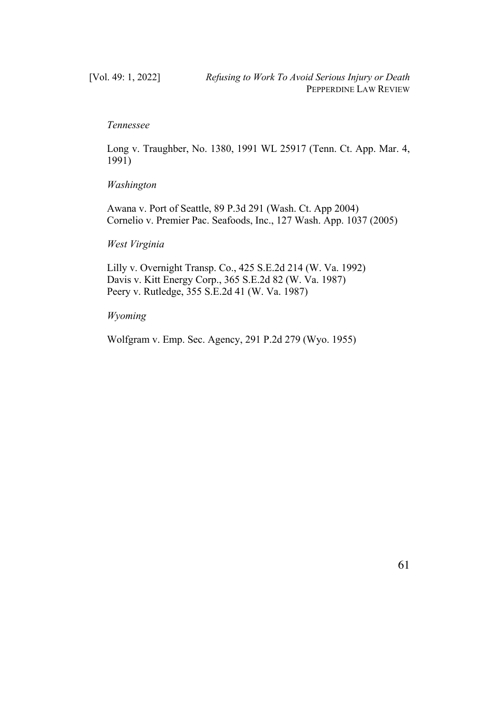## *Tennessee*

Long v. Traughber, No. 1380, 1991 WL 25917 (Tenn. Ct. App. Mar. 4, 1991)

#### *Washington*

Awana v. Port of Seattle, 89 P.3d 291 (Wash. Ct. App 2004) Cornelio v. Premier Pac. Seafoods, Inc., 127 Wash. App. 1037 (2005)

#### *West Virginia*

Lilly v. Overnight Transp. Co., 425 S.E.2d 214 (W. Va. 1992) Davis v. Kitt Energy Corp., 365 S.E.2d 82 (W. Va. 1987) Peery v. Rutledge, 355 S.E.2d 41 (W. Va. 1987)

# *Wyoming*

Wolfgram v. Emp. Sec. Agency, 291 P.2d 279 (Wyo. 1955)